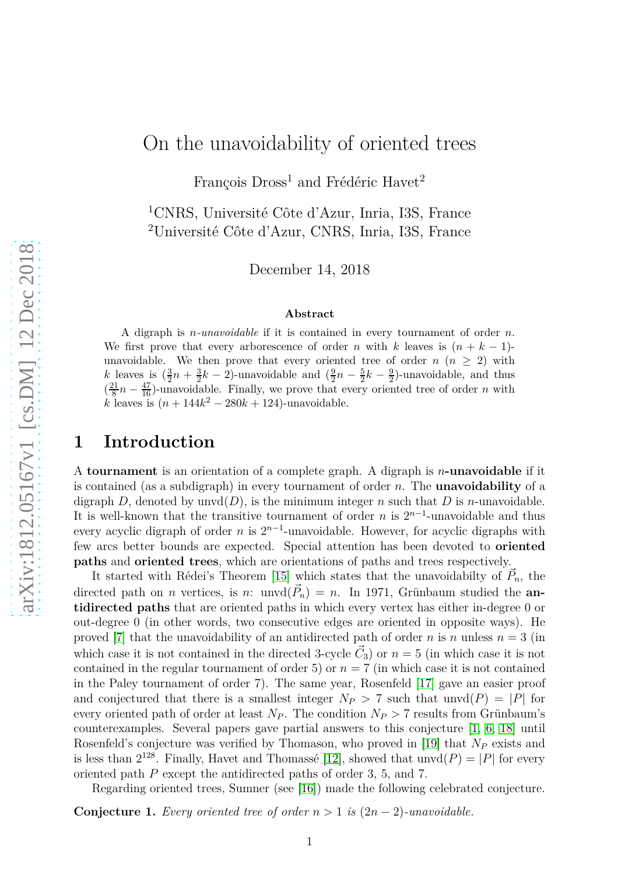# On the unavoidability of oriented trees

François  $Dross<sup>1</sup>$  and Frédéric Havet<sup>2</sup>

<sup>1</sup>CNRS, Université Côte d'Azur, Inria, I3S, France <sup>2</sup>Université Côte d'Azur, CNRS, Inria, I3S, France

December 14, 2018

#### **Abstract**

A digraph is *n-unavoidable* if it is contained in every tournament of order *n*. We first prove that every arborescence of order *n* with *k* leaves is  $(n + k - 1)$ unavoidable. We then prove that every oriented tree of order  $n (n \geq 2)$  with *k* leaves is  $(\frac{3}{2}n + \frac{3}{2}k - 2)$ -unavoidable and  $(\frac{9}{2}n - \frac{5}{2}k - \frac{9}{2})$ -unavoidable, and thus  $\left(\frac{21}{8}\right)$  $\frac{81}{8}n - \frac{47}{16}$ -unavoidable. Finally, we prove that every oriented tree of order *n* with  $k$  leaves is  $(n + 144k^2 - 280k + 124)$ -unavoidable.

# **1 Introduction**

A **tournament** is an orientation of a complete graph. A digraph is *n***-unavoidable** if it is contained (as a subdigraph) in every tournament of order *n*. The **unavoidability** of a digraph *D*, denoted by unvd $(D)$ , is the minimum integer *n* such that *D* is *n*-unavoidable. It is well-known that the transitive tournament of order *n* is 2*<sup>n</sup>*−<sup>1</sup> -unavoidable and thus every acyclic digraph of order *n* is 2*<sup>n</sup>*−<sup>1</sup> -unavoidable. However, for acyclic digraphs with few arcs better bounds are expected. Special attention has been devoted to **oriented paths** and **oriented trees**, which are orientations of paths and trees respectively.

It started with Rédei's Theorem [\[15\]](#page-19-0) which states that the unavoidabilty of  $\vec{P}_n$ , the directed path on *n* vertices, is *n*: unvd $(\vec{P}_n) = n$ . In 1971, Grünbaum studied the **antidirected paths** that are oriented paths in which every vertex has either in-degree 0 or out-degree 0 (in other words, two consecutive edges are oriented in opposite ways). He proved [\[7\]](#page-19-1) that the unavoidability of an antidirected path of order *n* is *n* unless  $n = 3$  (in which case it is not contained in the directed 3-cycle  $\vec{C}_3$ ) or  $n=5$  (in which case it is not contained in the regular tournament of order 5) or  $n = 7$  (in which case it is not contained in the Paley tournament of order 7). The same year, Rosenfeld [\[17\]](#page-19-2) gave an easier proof and conjectured that there is a smallest integer  $N_P > 7$  such that unvd $(P) = |P|$  for every oriented path of order at least  $N_P$ . The condition  $N_P > 7$  results from Grünbaum's counterexamples. Several papers gave partial answers to this conjecture [\[1,](#page-18-0) [6,](#page-19-3) [18\]](#page-19-4) until Rosenfeld's conjecture was verified by Thomason, who proved in [\[19\]](#page-19-5) that *N<sup>P</sup>* exists and is less than  $2^{128}$ . Finally, Havet and Thomassé [\[12\]](#page-19-6), showed that  $unvd(P) = |P|$  for every oriented path *P* except the antidirected paths of order 3, 5, and 7.

Regarding oriented trees, Sumner (see [\[16\]](#page-19-7)) made the following celebrated conjecture.

**Conjecture 1.** *Every oriented tree of order*  $n > 1$  *is*  $(2n - 2)$ *-unavoidable.*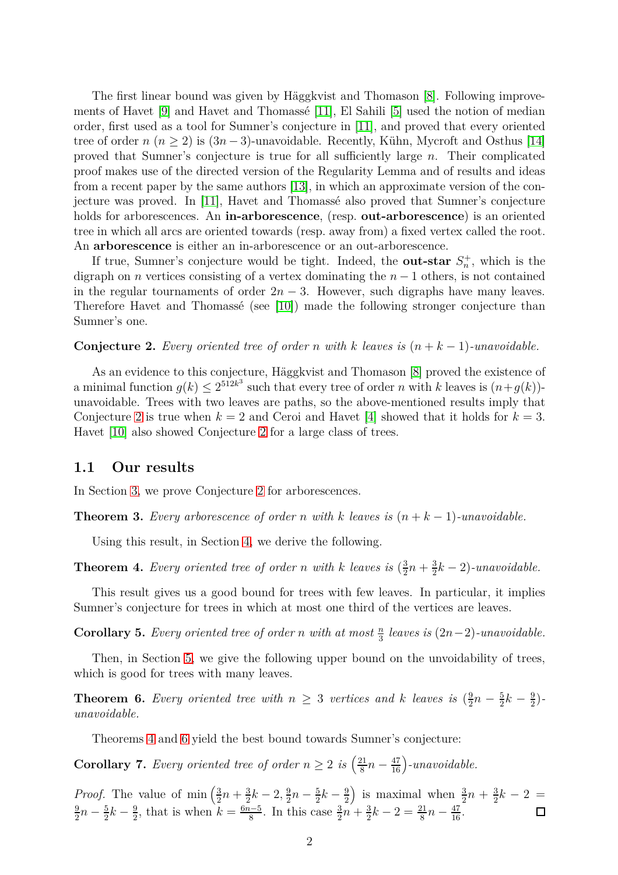The first linear bound was given by Häggkvist and Thomason [\[8\]](#page-19-8). Following improvements of Havet [\[9\]](#page-19-9) and Havet and Thomassé [\[11\]](#page-19-10), El Sahili [\[5\]](#page-18-1) used the notion of median order, first used as a tool for Sumner's conjecture in [\[11\]](#page-19-10), and proved that every oriented tree of order  $n (n \geq 2)$  is  $(3n-3)$ -unavoidable. Recently, Kühn, Mycroft and Osthus [\[14\]](#page-19-11) proved that Sumner's conjecture is true for all sufficiently large *n*. Their complicated proof makes use of the directed version of the Regularity Lemma and of results and ideas from a recent paper by the same authors [\[13\]](#page-19-12), in which an approximate version of the conjecture was proved. In [\[11\]](#page-19-10), Havet and Thomassé also proved that Sumner's conjecture holds for arborescences. An **in-arborescence**, (resp. **out-arborescence**) is an oriented tree in which all arcs are oriented towards (resp. away from) a fixed vertex called the root. An **arborescence** is either an in-arborescence or an out-arborescence.

If true, Sumner's conjecture would be tight. Indeed, the **out-star**  $S_n^+$ , which is the digraph on *n* vertices consisting of a vertex dominating the *n* − 1 others, is not contained in the regular tournaments of order  $2n - 3$ . However, such digraphs have many leaves. Therefore Havet and Thomassé (see [\[10\]](#page-19-13)) made the following stronger conjecture than Sumner's one.

<span id="page-1-0"></span>**Conjecture 2.** Every oriented tree of order *n* with *k* leaves is  $(n + k - 1)$ *-unavoidable.* 

As an evidence to this conjecture, Häggkvist and Thomason [\[8\]](#page-19-8) proved the existence of a minimal function  $g(k) \leq 2^{512k^3}$  such that every tree of order *n* with *k* leaves is  $(n+g(k))$ unavoidable. Trees with two leaves are paths, so the above-mentioned results imply that Conjecture [2](#page-1-0) is true when  $k = 2$  and Ceroi and Havet [\[4\]](#page-18-2) showed that it holds for  $k = 3$ . Havet [\[10\]](#page-19-13) also showed Conjecture [2](#page-1-0) for a large class of trees.

#### **1.1 Our results**

In Section [3,](#page-4-0) we prove Conjecture [2](#page-1-0) for arborescences.

<span id="page-1-3"></span>**Theorem 3.** Every arborescence of order *n* with *k* leaves is  $(n + k - 1)$ -unavoidable.

Using this result, in Section [4,](#page-6-0) we derive the following.

<span id="page-1-1"></span>**Theorem 4.** *Every oriented tree of order n with k leaves* is  $(\frac{3}{2})$  $\frac{3}{2}n + \frac{3}{2}$  $\frac{3}{2}k-2$ )-unavoidable.

This result gives us a good bound for trees with few leaves. In particular, it implies Sumner's conjecture for trees in which at most one third of the vertices are leaves.

**Corollary 5.** *Every oriented tree of order n with at most*  $\frac{n}{3}$  *leaves is*  $(2n-2)$ *-unavoidable.* 

Then, in Section [5,](#page-7-0) we give the following upper bound on the unvoidability of trees, which is good for trees with many leaves.

<span id="page-1-2"></span>**Theorem 6.** Every oriented tree with  $n \geq 3$  vertices and k leaves is  $(\frac{9}{2})$  $rac{9}{2}n-\frac{5}{2}$  $\frac{5}{2}k-\frac{9}{2}$  $\frac{9}{2}$ ) – *unavoidable.*

Theorems [4](#page-1-1) and [6](#page-1-2) yield the best bound towards Sumner's conjecture:

**Corollary 7.** *Every oriented tree of order*  $n \geq 2$  *is*  $\left(\frac{21}{8}\right)$  $\frac{21}{8}n - \frac{47}{16}$  -unavoidable.

*Proof.* The value of min  $\left(\frac{3}{2}\right)$  $rac{3}{2}n + \frac{3}{2}$  $\frac{3}{2}k-2, \frac{9}{2}$  $\frac{9}{2}n-\frac{5}{2}$  $\frac{5}{2}k-\frac{9}{2}$ 2 ) is maximal when  $\frac{3}{2}n + \frac{3}{2}$  $\frac{3}{2}k-2=$ 9  $\frac{9}{2}n-\frac{5}{2}$  $\frac{5}{2}k-\frac{9}{2}$  $\frac{9}{2}$ , that is when  $k = \frac{6n-5}{8}$  $\frac{1}{8}$ . In this case  $\frac{3}{2}n + \frac{3}{2}$  $\frac{3}{2}k-2=\frac{21}{8}n-\frac{47}{16}.$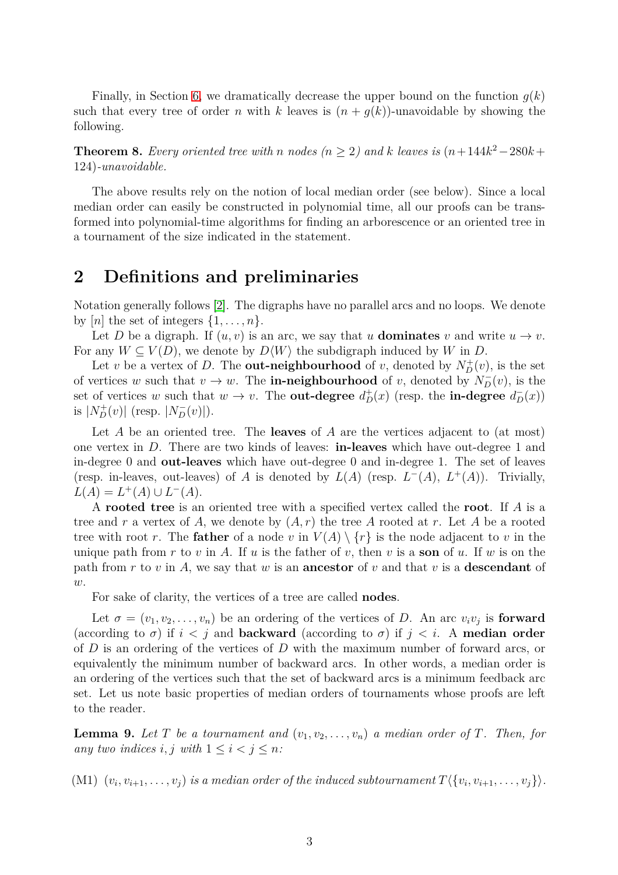Finally, in Section [6,](#page-10-0) we dramatically decrease the upper bound on the function  $g(k)$ such that every tree of order *n* with *k* leaves is  $(n + q(k))$ -unavoidable by showing the following.

<span id="page-2-0"></span>**Theorem 8.** Every oriented tree with *n* nodes ( $n \geq 2$ ) and  $k$  leaves is  $(n+144k^2-280k+1)$ 124)*-unavoidable.*

The above results rely on the notion of local median order (see below). Since a local median order can easily be constructed in polynomial time, all our proofs can be transformed into polynomial-time algorithms for finding an arborescence or an oriented tree in a tournament of the size indicated in the statement.

# **2 Definitions and preliminaries**

Notation generally follows [\[2\]](#page-18-3). The digraphs have no parallel arcs and no loops. We denote by  $[n]$  the set of integers  $\{1, \ldots, n\}.$ 

Let *D* be a digraph. If  $(u, v)$  is an arc, we say that *u* **dominates** *v* and write  $u \to v$ . For any  $W \subseteq V(D)$ , we denote by  $D\langle W \rangle$  the subdigraph induced by W in D.

Let *v* be a vertex of *D*. The **out-neighbourhood** of *v*, denoted by  $N_D^+(v)$ , is the set of vertices *w* such that  $v \to w$ . The **in-neighbourhood** of *v*, denoted by  $N_D^-(v)$ , is the set of vertices *w* such that  $w \to v$ . The **out-degree**  $d_D^+(x)$  (resp. the **in-degree**  $d_D^-(x)$ ) is  $|N_D^+(v)|$  (resp.  $|N_D^-(v)|$ ).

Let *A* be an oriented tree. The **leaves** of *A* are the vertices adjacent to (at most) one vertex in *D*. There are two kinds of leaves: **in-leaves** which have out-degree 1 and in-degree 0 and **out-leaves** which have out-degree 0 and in-degree 1. The set of leaves (resp. in-leaves, out-leaves) of *A* is denoted by  $L(A)$  (resp.  $L^{-}(A)$ ,  $L^{+}(A)$ ). Trivially,  $L(A) = L^+(A) \cup L^-(A).$ 

A **rooted tree** is an oriented tree with a specified vertex called the **root**. If *A* is a tree and r a vertex of A, we denote by  $(A, r)$  the tree A rooted at r. Let A be a rooted tree with root *r*. The **father** of a node *v* in  $V(A) \setminus \{r\}$  is the node adjacent to *v* in the unique path from *r* to *v* in *A*. If *u* is the father of *v*, then *v* is a **son** of *u*. If *w* is on the path from *r* to *v* in *A*, we say that *w* is an **ancestor** of *v* and that *v* is a **descendant** of *w*.

For sake of clarity, the vertices of a tree are called **nodes**.

Let  $\sigma = (v_1, v_2, \dots, v_n)$  be an ordering of the vertices of *D*. An arc  $v_i v_j$  is **forward** (according to  $\sigma$ ) if  $i < j$  and **backward** (according to  $\sigma$ ) if  $j < i$ . A **median order** of *D* is an ordering of the vertices of *D* with the maximum number of forward arcs, or equivalently the minimum number of backward arcs. In other words, a median order is an ordering of the vertices such that the set of backward arcs is a minimum feedback arc set. Let us note basic properties of median orders of tournaments whose proofs are left to the reader.

**Lemma 9.** Let T be a tournament and  $(v_1, v_2, \ldots, v_n)$  a median order of T. Then, for *any two indices i, j with*  $1 \leq i < j \leq n$ *:* 

 $(M1)$   $(v_i, v_{i+1}, \ldots, v_j)$  is a median order of the induced subtournament  $T\langle\{v_i, v_{i+1}, \ldots, v_j\}\rangle$ .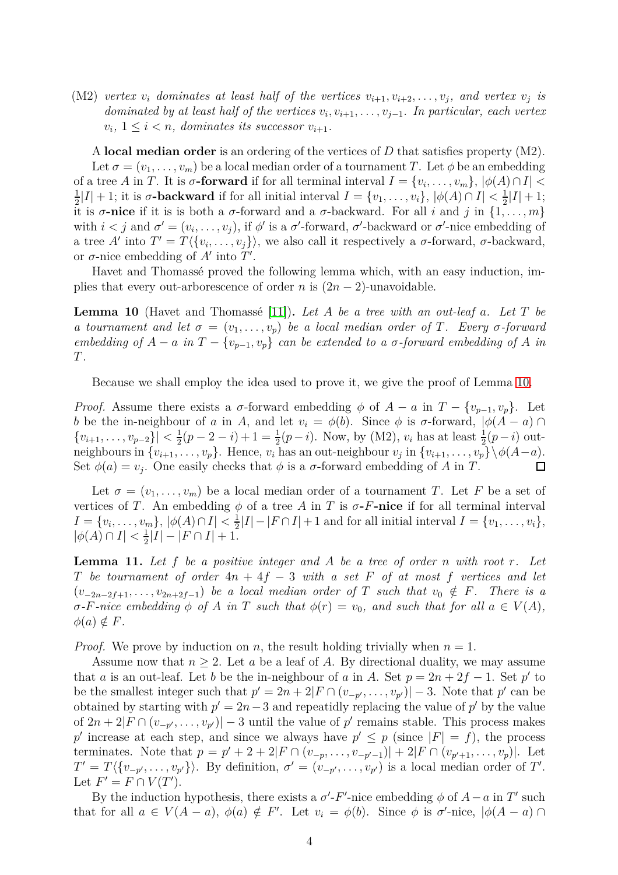(M2) *vertex*  $v_i$  *dominates* at least half of the vertices  $v_{i+1}, v_{i+2}, \ldots, v_j$ , and vertex  $v_j$  *is dominated by at least half of the vertices*  $v_i, v_{i+1}, \ldots, v_{j-1}$ . In particular, each vertex  $v_i, 1 \leq i < n$ , dominates its successor  $v_{i+1}$ .

A **local median order** is an ordering of the vertices of *D* that satisfies property (M2). Let  $\sigma = (v_1, \ldots, v_m)$  be a local median order of a tournament *T*. Let  $\phi$  be an embedding of a tree *A* in *T*. It is  $\sigma$ **-forward** if for all terminal interval  $I = \{v_i, \ldots, v_m\}, |\phi(A) \cap I|$ 1  $\frac{1}{2}|I| + 1$ ; it is  $\sigma$ **-backward** if for all initial interval  $I = \{v_1, \ldots, v_i\}, |\phi(A) \cap I| < \frac{1}{2}$  $\frac{1}{2}|I|+1;$ it is  $\sigma$ -nice if it is is both a  $\sigma$ -forward and a  $\sigma$ -backward. For all *i* and *j* in  $\{1, \ldots, m\}$ with  $i < j$  and  $\sigma' = (v_i, \ldots, v_j)$ , if  $\phi'$  is a  $\sigma'$ -forward,  $\sigma'$ -backward or  $\sigma'$ -nice embedding of a tree *A'* into  $T' = T \langle \{v_i, \ldots, v_j\} \rangle$ , we also call it respectively a *σ*-forward, *σ*-backward, or  $\sigma$ -nice embedding of  $A'$  into  $T'$ .

Havet and Thomassé proved the following lemma which, with an easy induction, implies that every out-arborescence of order *n* is  $(2n - 2)$ -unavoidable.

<span id="page-3-0"></span>**Lemma 10** (Havet and Thomassé [\[11\]](#page-19-10))**.** *Let A be a tree with an out-leaf a. Let T be a tournament and let*  $\sigma = (v_1, \ldots, v_p)$  *be a local median order of T. Every*  $\sigma$ -forward *embedding of*  $A - a$  *in*  $T - \{v_{p-1}, v_p\}$  *can be extended to a σ*-forward embedding of *A in T.*

Because we shall employ the idea used to prove it, we give the proof of Lemma [10.](#page-3-0)

*Proof.* Assume there exists a *σ*-forward embedding  $\phi$  of  $A - a$  in  $T - \{v_{p-1}, v_p\}$ . Let *b* be the in-neighbour of *a* in *A*, and let  $v_i = \phi(b)$ . Since  $\phi$  is  $\sigma$ -forward,  $|\phi(A - a) \cap$  $\{v_{i+1}, \ldots, v_{p-2}\}| < \frac{1}{2}$  $\frac{1}{2}(p-2-i)+1=\frac{1}{2}(p-i)$ . Now, by (M2),  $v_i$  has at least  $\frac{1}{2}(p-i)$  outneighbours in  $\{v_{i+1}, \ldots, v_p\}$ . Hence,  $v_i$  has an out-neighbour  $v_j$  in  $\{v_{i+1}, \ldots, v_p\} \setminus \phi(A-a)$ . Set  $\phi(a) = v_j$ . One easily checks that  $\phi$  is a *σ*-forward embedding of *A* in *T*.  $\Box$ 

Let  $\sigma = (v_1, \ldots, v_m)$  be a local median order of a tournament *T*. Let *F* be a set of vertices of *T*. An embedding  $\phi$  of a tree *A* in *T* is  $\sigma$ **-***F***-nice** if for all terminal interval  $I = \{v_i, \ldots, v_m\}, |\phi(A) \cap I| < \frac{1}{2}$  $\frac{1}{2}|I| - |F \cap I| + 1$  and for all initial interval  $I = \{v_1, \ldots, v_i\},\$  $|\phi(A) \cap I| < \frac{1}{2}$  $\frac{1}{2}|I| - |F \cap I| + 1.$ 

<span id="page-3-1"></span>**Lemma 11.** *Let f be a positive integer and A be a tree of order n with root r. Let T be tournament of order* 4*n* + 4*f* − 3 *with a set F of at most f vertices and let*  $(v_{-2n-2f+1}, \ldots, v_{2n+2f-1})$  *be a local median order of T such that*  $v_0 \notin F$ *. There is a*  $\sigma$ *-F*-nice embedding  $\phi$  *of A* in *T* such that  $\phi(r) = v_0$ , and such that for all  $a \in V(A)$ ,  $\phi(a) \notin F$ .

*Proof.* We prove by induction on *n*, the result holding trivially when  $n = 1$ .

Assume now that  $n \geq 2$ . Let *a* be a leaf of *A*. By directional duality, we may assume that *a* is an out-leaf. Let *b* be the in-neighbour of *a* in *A*. Set  $p = 2n + 2f - 1$ . Set *p*<sup>'</sup> to be the smallest integer such that  $p' = 2n + 2|F \cap (v_{-p'}, \ldots, v_{p'})| - 3$ . Note that  $p'$  can be obtained by starting with  $p' = 2n - 3$  and repeatidly replacing the value of  $p'$  by the value of  $2n + 2|F \cap (v_{-p'}, \ldots, v_{p'})| - 3$  until the value of  $p'$  remains stable. This process makes p' increase at each step, and since we always have  $p' \leq p$  (since  $|F| = f$ ), the process terminates. Note that  $p = p' + 2 + 2|F \cap (v_{-p}, \ldots, v_{-p'-1})| + 2|F \cap (v_{p'+1}, \ldots, v_p)|$ . Let  $T' = T \langle \{v_{-p'}, \ldots, v_{p'}\} \rangle$ . By definition,  $\sigma' = (v_{-p'}, \ldots, v_{p'})$  is a local median order of *T'*. Let  $F' = F \cap V(T')$ .

By the induction hypothesis, there exists a  $\sigma'$ -*F'*-nice embedding  $\phi$  of  $A - a$  in  $T'$  such that for all  $a \in V(A - a)$ ,  $\phi(a) \notin F'$ . Let  $v_i = \phi(b)$ . Since  $\phi$  is  $\sigma'$ -nice,  $|\phi(A - a) \cap$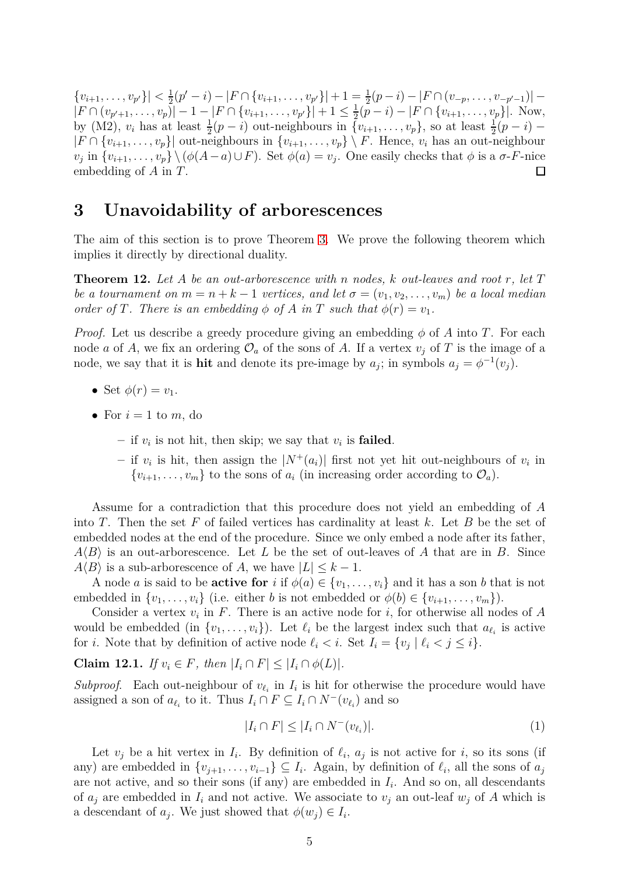$\{v_{i+1}, \ldots, v_{p'}\}| < \frac{1}{2}$  $\frac{1}{2}(p'-i) - |F \cap \{v_{i+1}, \ldots, v_{p'}\}| + 1 = \frac{1}{2}(p-i) - |F \cap (v_{-p}, \ldots, v_{-p'-1})|$  $|F \cap (v_{p'+1}, \ldots, v_p)| - 1 - |F \cap \{v_{i+1}, \ldots, v_{p'}\}| + 1 \leq \frac{1}{2}$  $\frac{1}{2}(p-i) - |F \cap \{v_{i+1}, \ldots, v_p\}|$ . Now, by (M2),  $v_i$  has at least  $\frac{1}{2}(p-i)$  out-neighbours in  $\{v_{i+1}, \ldots, v_p\}$ , so at least  $\frac{1}{2}(p-i)$  –  $|F \cap \{v_{i+1}, \ldots, v_p\}|$  out-neighbours in  $\{v_{i+1}, \ldots, v_p\} \setminus F$ . Hence,  $v_i$  has an out-neighbour  $v_j$  in  $\{v_{i+1}, \ldots, v_p\} \setminus (\phi(A-a) \cup F)$ . Set  $\phi(a) = v_j$ . One easily checks that  $\phi$  is a  $\sigma$ -*F*-nice embedding of *A* in *T*.  $\Box$ 

## <span id="page-4-0"></span>**3 Unavoidability of arborescences**

The aim of this section is to prove Theorem [3.](#page-1-3) We prove the following theorem which implies it directly by directional duality.

<span id="page-4-3"></span>**Theorem 12.** *Let A be an out-arborescence with n nodes, k out-leaves and root r, let T be a tournament on*  $m = n + k - 1$  *vertices, and let*  $\sigma = (v_1, v_2, \ldots, v_m)$  *be a local median order of T. There is an embedding*  $\phi$  *of A in T such that*  $\phi(r) = v_1$ *.* 

*Proof.* Let us describe a greedy procedure giving an embedding  $\phi$  of *A* into *T*. For each node *a* of *A*, we fix an ordering  $\mathcal{O}_a$  of the sons of *A*. If a vertex  $v_j$  of *T* is the image of a node, we say that it is **hit** and denote its pre-image by  $a_j$ ; in symbols  $a_j = \phi^{-1}(v_j)$ .

- Set  $\phi(r) = v_1$ .
- For  $i = 1$  to  $m$ , do
	- $-$  if  $v_i$  is not hit, then skip; we say that  $v_i$  is **failed**.
	- $-$  if  $v_i$  is hit, then assign the  $|N^+(a_i)|$  first not yet hit out-neighbours of  $v_i$  in  $\{v_{i+1}, \ldots, v_m\}$  to the sons of  $a_i$  (in increasing order according to  $\mathcal{O}_a$ ).

Assume for a contradiction that this procedure does not yield an embedding of *A* into *T*. Then the set *F* of failed vertices has cardinality at least *k*. Let *B* be the set of embedded nodes at the end of the procedure. Since we only embed a node after its father,  $A\langle B\rangle$  is an out-arborescence. Let *L* be the set of out-leaves of *A* that are in *B*. Since  $A\langle B\rangle$  is a sub-arborescence of *A*, we have  $|L| \leq k-1$ .

A node *a* is said to be **active for** *i* if  $\phi(a) \in \{v_1, \ldots, v_i\}$  and it has a son *b* that is not embedded in  $\{v_1, \ldots, v_i\}$  (i.e. either *b* is not embedded or  $\phi(b) \in \{v_{i+1}, \ldots, v_m\}$ ).

Consider a vertex  $v_i$  in  $F$ . There is an active node for  $i$ , for otherwise all nodes of  $A$ would be embedded (in  $\{v_1, \ldots, v_i\}$ ). Let  $\ell_i$  be the largest index such that  $a_{\ell_i}$  is active for *i*. Note that by definition of active node  $\ell_i < i$ . Set  $I_i = \{v_j \mid \ell_i < j \le i\}$ .

<span id="page-4-2"></span>**Claim 12.1.** *If*  $v_i \in F$ *, then*  $|I_i \cap F| \leq |I_i \cap \phi(L)|$ *.* 

*Subproof.* Each out-neighbour of  $v_{\ell_i}$  in  $I_i$  is hit for otherwise the procedure would have assigned a son of  $a_{\ell_i}$  to it. Thus  $I_i \cap F \subseteq I_i \cap N^-(v_{\ell_i})$  and so

<span id="page-4-1"></span>
$$
|I_i \cap F| \le |I_i \cap N^-(v_{\ell_i})|.
$$
\n
$$
(1)
$$

Let  $v_j$  be a hit vertex in  $I_i$ . By definition of  $\ell_i$ ,  $a_j$  is not active for *i*, so its sons (if any) are embedded in  $\{v_{j+1}, \ldots, v_{i-1}\} \subseteq I_i$ . Again, by definition of  $\ell_i$ , all the sons of  $a_j$ are not active, and so their sons (if any) are embedded in *I<sup>i</sup>* . And so on, all descendants of  $a_j$  are embedded in  $I_i$  and not active. We associate to  $v_j$  an out-leaf  $w_j$  of A which is a descendant of  $a_j$ . We just showed that  $\phi(w_j) \in I_i$ .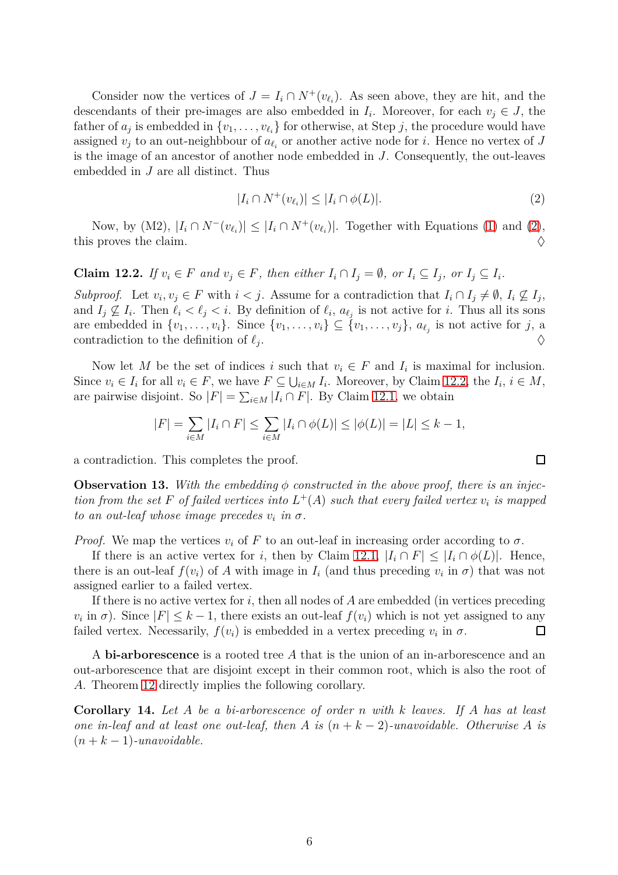Consider now the vertices of  $J = I_i \cap N^+(v_{\ell_i})$ . As seen above, they are hit, and the descendants of their pre-images are also embedded in  $I_i$ . Moreover, for each  $v_j \in J$ , the father of  $a_j$  is embedded in  $\{v_1, \ldots, v_{\ell_i}\}$  for otherwise, at Step *j*, the procedure would have assigned  $v_j$  to an out-neighbbour of  $a_{\ell_i}$  or another active node for *i*. Hence no vertex of *J* is the image of an ancestor of another node embedded in *J*. Consequently, the out-leaves embedded in *J* are all distinct. Thus

<span id="page-5-0"></span>
$$
|I_i \cap N^+(v_{\ell_i})| \le |I_i \cap \phi(L)|. \tag{2}
$$

Now, by (M2),  $|I_i \cap N^-(v_{\ell_i})| \leq |I_i \cap N^+(v_{\ell_i})|$ . Together with Equations [\(1\)](#page-4-1) and [\(2\)](#page-5-0), this proves the claim.  $\Diamond$ 

<span id="page-5-1"></span>**Claim 12.2.** If  $v_i \in F$  and  $v_j \in F$ , then either  $I_i \cap I_j = \emptyset$ , or  $I_i \subseteq I_j$ , or  $I_j \subseteq I_i$ .

*Subproof.* Let  $v_i, v_j \in F$  with  $i < j$ . Assume for a contradiction that  $I_i \cap I_j \neq \emptyset$ ,  $I_i \nsubseteq I_j$ , and  $I_j \nsubseteq I_i$ . Then  $\ell_i < \ell_j < i$ . By definition of  $\ell_i$ ,  $a_{\ell_j}$  is not active for *i*. Thus all its sons are embedded in  $\{v_1, \ldots, v_i\}$ . Since  $\{v_1, \ldots, v_i\} \subseteq \{v_1, \ldots, v_j\}$ ,  $a_{\ell_j}$  is not active for *j*, a contradiction to the definition of  $\ell_i$ . . And the contract of the contract of the contract of the contract of the contract of the contract of the contract of the contract of the contract of the contract of the contract of the contract of the contract of the con

Now let *M* be the set of indices *i* such that  $v_i \in F$  and  $I_i$  is maximal for inclusion. Since  $v_i \in I_i$  for all  $v_i \in F$ , we have  $F \subseteq \bigcup_{i \in M} I_i$ . Moreover, by Claim [12.2,](#page-5-1) the  $I_i$ ,  $i \in M$ , are pairwise disjoint. So  $|F| = \sum_{i \in M} |I_i \cap F|$ . By Claim [12.1,](#page-4-2) we obtain

$$
|F| = \sum_{i \in M} |I_i \cap F| \le \sum_{i \in M} |I_i \cap \phi(L)| \le |\phi(L)| = |L| \le k - 1,
$$

a contradiction. This completes the proof.

<span id="page-5-3"></span>**Observation 13.** With the embedding  $\phi$  constructed in the above proof, there is an injec*tion from the set*  $F$  *of failed vertices into*  $L^+(A)$  *such that every failed vertex*  $v_i$  *is mapped to an out-leaf whose image precedes*  $v_i$  *in*  $\sigma$ .

*Proof.* We map the vertices  $v_i$  of F to an out-leaf in increasing order according to  $\sigma$ .

If there is an active vertex for *i*, then by Claim [12.1,](#page-4-2)  $|I_i \cap F| \leq |I_i \cap \phi(L)|$ . Hence, there is an out-leaf  $f(v_i)$  of A with image in  $I_i$  (and thus preceding  $v_i$  in  $\sigma$ ) that was not assigned earlier to a failed vertex.

If there is no active vertex for *i*, then all nodes of *A* are embedded (in vertices preceding  $v_i$  in  $\sigma$ ). Since  $|F| \leq k - 1$ , there exists an out-leaf  $f(v_i)$  which is not yet assigned to any failed vertex. Necessarily,  $f(v_i)$  is embedded in a vertex preceding  $v_i$  in  $\sigma$ .  $\Box$ 

A **bi-arborescence** is a rooted tree *A* that is the union of an in-arborescence and an out-arborescence that are disjoint except in their common root, which is also the root of *A*. Theorem [12](#page-4-3) directly implies the following corollary.

<span id="page-5-2"></span>**Corollary 14.** *Let A be a bi-arborescence of order n with k leaves. If A has at least one in-leaf and at least one out-leaf, then A is*  $(n + k - 2)$ *-unavoidable. Otherwise* A *is*  $(n+k-1)$ -unavoidable.

 $\Box$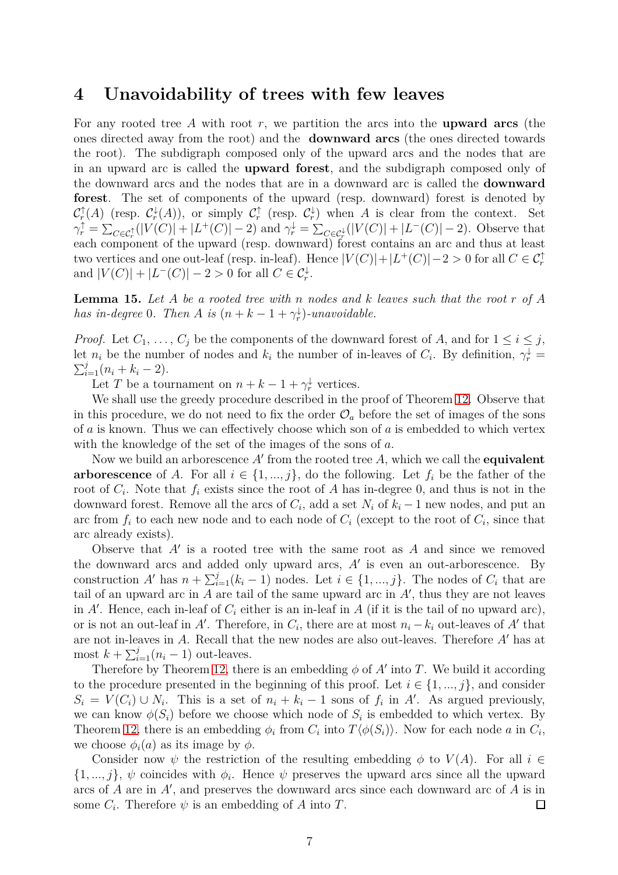## <span id="page-6-0"></span>**4 Unavoidability of trees with few leaves**

For any rooted tree *A* with root *r*, we partition the arcs into the **upward arcs** (the ones directed away from the root) and the **downward arcs** (the ones directed towards the root). The subdigraph composed only of the upward arcs and the nodes that are in an upward arc is called the **upward forest**, and the subdigraph composed only of the downward arcs and the nodes that are in a downward arc is called the **downward forest**. The set of components of the upward (resp. downward) forest is denoted by  $\mathcal{C}_r^{\uparrow}(A)$  (resp.  $\mathcal{C}_r^{\downarrow}(A)$ ), or simply  $\mathcal{C}_r^{\uparrow}$  (resp.  $\mathcal{C}_r^{\downarrow}$ ) when A is clear from the context. Set  $\gamma_r^{\uparrow} = \sum_{C \in \mathcal{C}_r^{\uparrow}} (|V(C)| + |L^+(C)| - 2)$  and  $\gamma_r^{\downarrow} = \sum_{C \in \mathcal{C}_r^{\downarrow}} (|V(C)| + |L^-(C)| - 2)$ . Observe that each component of the upward (resp. downward) forest contains an arc and thus at least two vertices and one out-leaf (resp. in-leaf). Hence  $|V(C)| + |L^+(C)| - 2 > 0$  for all  $C \in \mathcal{C}_r^{\uparrow}$ and  $|V(C)| + |L^{-}(C)| - 2 > 0$  for all  $C \in C_r^{\downarrow}$ .

<span id="page-6-1"></span>**Lemma 15.** *Let A be a rooted tree with n nodes and k leaves such that the root r of A has in-degree* 0*. Then A is*  $(n + k - 1 + \gamma_r^{\downarrow})$ *-unavoidable.* 

*Proof.* Let  $C_1, \ldots, C_j$  be the components of the downward forest of *A*, and for  $1 \leq i \leq j$ , let *n<sub>i</sub>* be the number of nodes and  $k_i$  the number of in-leaves of  $C_i$ . By definition,  $\gamma_r^{\downarrow} = \sum_{i=1}^{j} (n_i + k_i - 2)$  $\sum_{i=1}^{j}(n_i + k_i - 2).$ 

Let *T* be a tournament on  $n + k - 1 + \gamma_r^{\downarrow}$  vertices.

We shall use the greedy procedure described in the proof of Theorem [12.](#page-4-3) Observe that in this procedure, we do not need to fix the order  $\mathcal{O}_a$  before the set of images of the sons of *a* is known. Thus we can effectively choose which son of *a* is embedded to which vertex with the knowledge of the set of the images of the sons of *a*.

Now we build an arborescence *A*′ from the rooted tree *A*, which we call the **equivalent arborescence** of *A*. For all  $i \in \{1, ..., j\}$ , do the following. Let  $f_i$  be the father of the root of  $C_i$ . Note that  $f_i$  exists since the root of *A* has in-degree 0, and thus is not in the downward forest. Remove all the arcs of  $C_i$ , add a set  $N_i$  of  $k_i - 1$  new nodes, and put an arc from  $f_i$  to each new node and to each node of  $C_i$  (except to the root of  $C_i$ , since that arc already exists).

Observe that *A*′ is a rooted tree with the same root as *A* and since we removed the downward arcs and added only upward arcs, *A*′ is even an out-arborescence. By construction *A'* has  $n + \sum_{i=1}^{j} (k_i - 1)$  nodes. Let  $i \in \{1, ..., j\}$ . The nodes of  $C_i$  that are tail of an upward arc in *A* are tail of the same upward arc in *A*′ , thus they are not leaves in  $A'$ . Hence, each in-leaf of  $C_i$  either is an in-leaf in  $A$  (if it is the tail of no upward arc), or is not an out-leaf in  $A'$ . Therefore, in  $C_i$ , there are at most  $n_i - k_i$  out-leaves of  $A'$  that are not in-leaves in *A*. Recall that the new nodes are also out-leaves. Therefore *A*′ has at most  $k + \sum_{i=1}^{j} (n_i - 1)$  out-leaves.

Therefore by Theorem [12,](#page-4-3) there is an embedding  $\phi$  of  $A'$  into  $T$ . We build it according to the procedure presented in the beginning of this proof. Let  $i \in \{1, ..., j\}$ , and consider  $S_i = V(C_i) \cup N_i$ . This is a set of  $n_i + k_i - 1$  sons of  $f_i$  in  $A'$ . As argued previously, we can know  $\phi(S_i)$  before we choose which node of  $S_i$  is embedded to which vertex. By Theorem [12,](#page-4-3) there is an embedding  $\phi_i$  from  $C_i$  into  $T\langle \phi(S_i) \rangle$ . Now for each node *a* in  $C_i$ , we choose  $\phi_i(a)$  as its image by  $\phi$ .

Consider now  $\psi$  the restriction of the resulting embedding  $\phi$  to  $V(A)$ . For all  $i \in$  $\{1, ..., j\}, \psi$  coincides with  $\phi_i$ . Hence  $\psi$  preserves the upward arcs since all the upward arcs of *A* are in *A*′ , and preserves the downward arcs since each downward arc of *A* is in some  $C_i$ . Therefore  $\psi$  is an embedding of *A* into *T*. □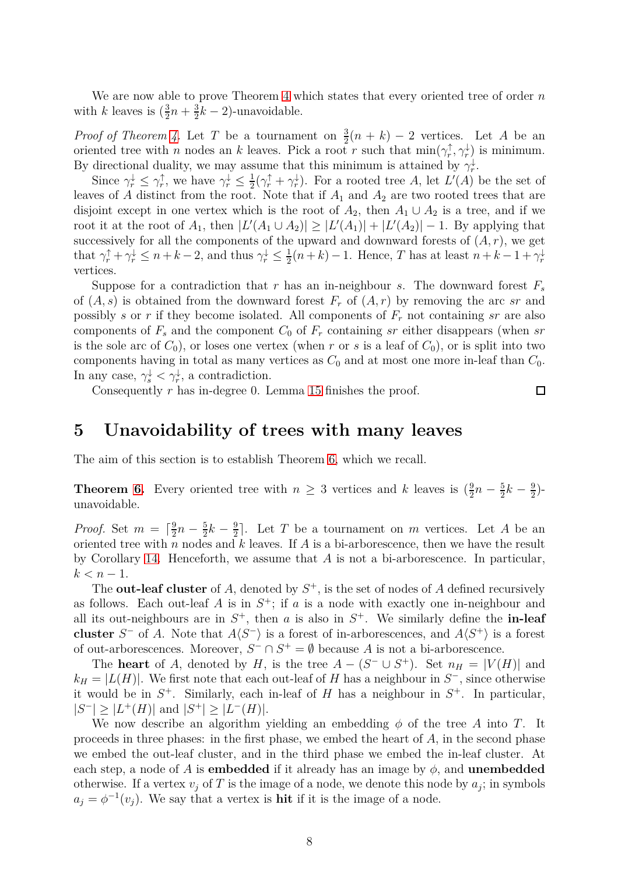We are now able to prove Theorem [4](#page-1-1) which states that every oriented tree of order *n* with *k* leaves is  $(\frac{3}{2}n + \frac{3}{2})$  $\frac{3}{2}k-2$ )-unavoidable.

*Proof of Theorem [4.](#page-1-1)* Let *T* be a tournament on  $\frac{3}{2}(n+k) - 2$  vertices. Let *A* be an oriented tree with *n* nodes an *k* leaves. Pick a root *r* such that  $\min(\gamma_r^{\uparrow}, \gamma_r^{\downarrow})$  is minimum. By directional duality, we may assume that this minimum is attained by  $\gamma_r^{\downarrow}$ .

Since  $\gamma_r^{\downarrow} \leq \gamma_r^{\uparrow}$ , we have  $\gamma_r^{\downarrow} \leq \frac{1}{2}$  $\frac{1}{2}(\gamma_r^{\uparrow} + \gamma_r^{\downarrow})$ . For a rooted tree *A*, let *L'*(*A*) be the set of leaves of *A* distinct from the root. Note that if  $A_1$  and  $A_2$  are two rooted trees that are disjoint except in one vertex which is the root of  $A_2$ , then  $A_1 \cup A_2$  is a tree, and if we root it at the root of  $A_1$ , then  $|L'(A_1 \cup A_2)| \geq |L'(A_1)| + |L'(A_2)| - 1$ . By applying that successively for all the components of the upward and downward forests of  $(A, r)$ , we get that  $\gamma_r^{\uparrow} + \gamma_r^{\downarrow} \leq n + k - 2$ , and thus  $\gamma_r^{\downarrow} \leq \frac{1}{2}$  $\frac{1}{2}(n+k) - 1$ . Hence, *T* has at least  $n + k - 1 + \gamma_r^{\downarrow}$ vertices.

Suppose for a contradiction that *r* has an in-neighbour *s*. The downward forest  $F_s$ of  $(A, s)$  is obtained from the downward forest  $F_r$  of  $(A, r)$  by removing the arc *sr* and possibly *s* or *r* if they become isolated. All components of *F<sup>r</sup>* not containing *sr* are also components of  $F_s$  and the component  $C_0$  of  $F_r$  containing  $sr$  either disappears (when  $sr$ is the sole arc of  $C_0$ ), or loses one vertex (when *r* or *s* is a leaf of  $C_0$ ), or is split into two components having in total as many vertices as  $C_0$  and at most one more in-leaf than  $C_0$ . In any case,  $\gamma_s^{\downarrow} < \gamma_r^{\downarrow}$ , a contradiction.

Consequently *r* has in-degree 0. Lemma [15](#page-6-1) finishes the proof.

# <span id="page-7-0"></span>**5 Unavoidability of trees with many leaves**

The aim of this section is to establish Theorem [6,](#page-1-2) which we recall.

**Theorem [6.](#page-1-2)** Every oriented tree with  $n \geq 3$  vertices and *k* leaves is  $(\frac{9}{2}n - \frac{5}{2})$  $\frac{5}{2}k-\frac{9}{2}$  $\frac{9}{2}$ )unavoidable.

*Proof.* Set  $m = \lceil \frac{9}{2} \rceil$  $\frac{9}{2}n-\frac{5}{2}$  $\frac{5}{2}k-\frac{9}{2}$  $\frac{9}{2}$ . Let *T* be a tournament on *m* vertices. Let *A* be an oriented tree with *n* nodes and *k* leaves. If *A* is a bi-arborescence, then we have the result by Corollary [14.](#page-5-2) Henceforth, we assume that *A* is not a bi-arborescence. In particular,  $k < n - 1$ .

The **out-leaf cluster** of  $A$ , denoted by  $S^+$ , is the set of nodes of  $A$  defined recursively as follows. Each out-leaf  $A$  is in  $S^+$ ; if  $a$  is a node with exactly one in-neighbour and all its out-neighbours are in  $S^+$ , then *a* is also in  $S^+$ . We similarly define the **in-leaf cluster**  $S^-$  of *A*. Note that  $A\langle S^- \rangle$  is a forest of in-arborescences, and  $A\langle S^+ \rangle$  is a forest of out-arborescences. Moreover,  $S^- \cap S^+ = \emptyset$  because A is not a bi-arborescence.

The **heart** of *A*, denoted by *H*, is the tree  $A - (S^- \cup S^+)$ . Set  $n_H = |V(H)|$  and  $k_H = |L(H)|$ . We first note that each out-leaf of *H* has a neighbour in  $S^-$ , since otherwise it would be in  $S^+$ . Similarly, each in-leaf of *H* has a neighbour in  $S^+$ . In particular,  $|S^{-}| \geq |L^{+}(H)|$  and  $|S^{+}| \geq |L^{-}(H)|$ .

We now describe an algorithm yielding an embedding  $\phi$  of the tree *A* into *T*. It proceeds in three phases: in the first phase, we embed the heart of *A*, in the second phase we embed the out-leaf cluster, and in the third phase we embed the in-leaf cluster. At each step, a node of *A* is **embedded** if it already has an image by  $\phi$ , and **unembedded** otherwise. If a vertex  $v_j$  of T is the image of a node, we denote this node by  $a_j$ ; in symbols  $a_j = \phi^{-1}(v_j)$ . We say that a vertex is **hit** if it is the image of a node.

 $\Box$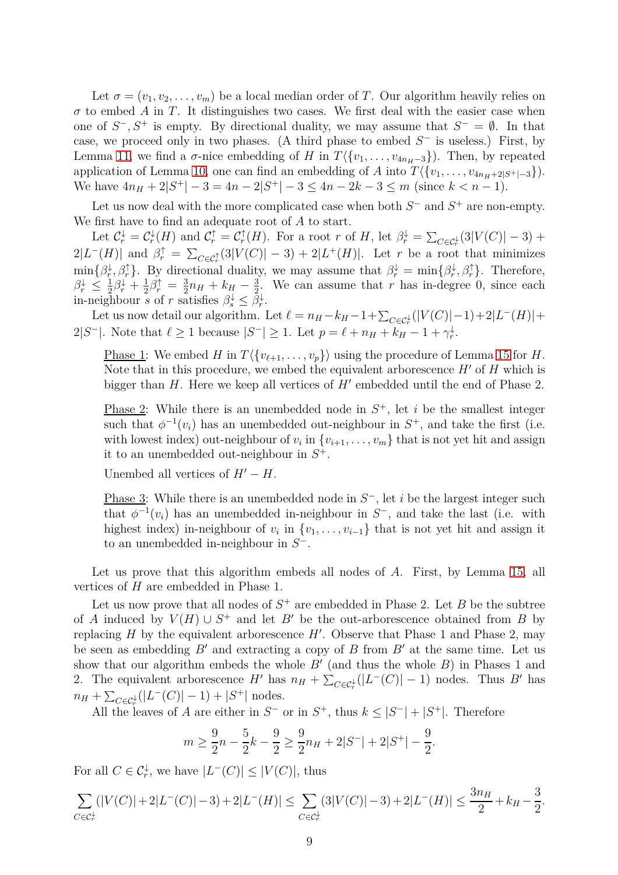Let  $\sigma = (v_1, v_2, \dots, v_m)$  be a local median order of *T*. Our algorithm heavily relies on  $\sigma$  to embed *A* in *T*. It distinguishes two cases. We first deal with the easier case when one of  $S^-, S^+$  is empty. By directional duality, we may assume that  $S^- = \emptyset$ . In that case, we proceed only in two phases. (A third phase to embed *S* <sup>−</sup> is useless.) First, by Lemma [11,](#page-3-1) we find a  $\sigma$ -nice embedding of *H* in  $T\langle \{v_1, \ldots, v_{4n_H-3}\}\rangle$ . Then, by repeated application of Lemma [10,](#page-3-0) one can find an embedding of *A* into  $T\langle \{v_1, \ldots, v_{4n_H+2|S^+|-3}\}\rangle$ . We have  $4n_H + 2|S^+| - 3 = 4n - 2|S^+| - 3 \le 4n - 2k - 3 \le m$  (since  $k < n - 1$ ).

Let us now deal with the more complicated case when both  $S^-$  and  $S^+$  are non-empty. We first have to find an adequate root of *A* to start.

Let  $\mathcal{C}_r^{\downarrow} = \mathcal{C}_r^{\downarrow}(H)$  and  $\mathcal{C}_r^{\uparrow} = \mathcal{C}_r^{\uparrow}(H)$ . For a root *r* of *H*, let  $\beta_r^{\downarrow} = \sum_{C \in \mathcal{C}_r^{\downarrow}} (3|V(C)| - 3) +$  $2|L^-(H)|$  and  $\beta_r^{\uparrow} = \sum_{C \in \mathcal{C}_r^{\uparrow}} (3|V(C)| - 3) + 2|L^+(H)|$ . Let *r* be a root that minimizes  $r = \frac{1}{2} \int_{0}^{1} \beta_r^{\dagger} \beta_r^{\dagger}$ . By directional duality, we may assume that  $\beta_r^{\dagger} = \min\{\beta_r^{\dagger}, \beta_r^{\dagger}\}\$ . Therefore,  $\beta_r^{\downarrow} \leq \frac{1}{2}$  $\frac{1}{2}\beta_r^{\downarrow} + \frac{1}{2}$  $\frac{1}{2}\beta_r^{\uparrow} = \frac{3}{2}$  $\frac{3}{2}n_H + k_H - \frac{3}{2}$  $\frac{3}{2}$ . We can assume that *r* has in-degree 0, since each in-neighbour *s* of *r* satisfies  $\beta_s^{\downarrow} \leq \overline{\beta_r^{\downarrow}}$ .

Let us now detail our algorithm. Let  $\ell = n_H - k_H - 1 + \sum_{C \in \mathcal{C}_r^{\downarrow}} (|V(C)| - 1) + 2|L^-(H)| +$ 2|*S*<sup>-</sup>|. Note that  $\ell \ge 1$  because  $|S^-| \ge 1$ . Let  $p = \ell + n_H + k_H - 1 + \gamma_r^{\downarrow}$ .

Phase 1: We embed *H* in  $T\langle \{v_{\ell+1}, \ldots, v_p\} \rangle$  using the procedure of Lemma [15](#page-6-1) for *H*. Note that in this procedure, we embed the equivalent arborescence *H*′ of *H* which is bigger than *H*. Here we keep all vertices of *H'* embedded until the end of Phase 2.

**Phase 2:** While there is an unembedded node in  $S^+$ , let *i* be the smallest integer such that  $\phi^{-1}(v_i)$  has an unembedded out-neighbour in  $S^+$ , and take the first (i.e. with lowest index) out-neighbour of  $v_i$  in  $\{v_{i+1}, \ldots, v_m\}$  that is not yet hit and assign it to an unembedded out-neighbour in *S* +.

Unembed all vertices of  $H' - H$ .

Phase 3: While there is an unembedded node in  $S^-$ , let *i* be the largest integer such that  $\phi^{-1}(v_i)$  has an unembedded in-neighbour in  $S^-$ , and take the last (i.e. with highest index) in-neighbour of  $v_i$  in  $\{v_1, \ldots, v_{i-1}\}$  that is not yet hit and assign it to an unembedded in-neighbour in *S* −.

Let us prove that this algorithm embeds all nodes of *A*. First, by Lemma [15,](#page-6-1) all vertices of *H* are embedded in Phase 1.

Let us now prove that all nodes of  $S^+$  are embedded in Phase 2. Let *B* be the subtree of *A* induced by  $V(H) \cup S^+$  and let *B'* be the out-arborescence obtained from *B* by replacing  $H$  by the equivalent arborescence  $H'$ . Observe that Phase 1 and Phase 2, may be seen as embedding *B*′ and extracting a copy of *B* from *B*′ at the same time. Let us show that our algorithm embeds the whole *B*′ (and thus the whole *B*) in Phases 1 and 2. The equivalent arborescence *H*<sup>'</sup> has  $n_H + \sum_{C \in \mathcal{C}_r^{\downarrow}}(|L^-(C)| - 1)$  nodes. Thus *B*<sup>'</sup> has  $n_H + \sum_{C \in \mathcal{C}_r^{\downarrow}} (|L^-(C)| - 1) + |S^+|$  nodes.

All the leaves of *A* are either in  $S^-$  or in  $S^+$ , thus  $k \leq |S^-| + |S^+|$ . Therefore

$$
m \ge \frac{9}{2}n - \frac{5}{2}k - \frac{9}{2} \ge \frac{9}{2}n + 2|S^-| + 2|S^+| - \frac{9}{2}
$$

*.*

For all  $C \in \mathcal{C}_r^{\downarrow}$ , we have  $|L^-(C)| \leq |V(C)|$ , thus

$$
\sum_{C \in \mathcal{C}_r^{\downarrow}} (|V(C)| + 2|L^-(C)| - 3) + 2|L^-(H)| \le \sum_{C \in \mathcal{C}_r^{\downarrow}} (3|V(C)| - 3) + 2|L^-(H)| \le \frac{3n_H}{2} + k_H - \frac{3}{2}.
$$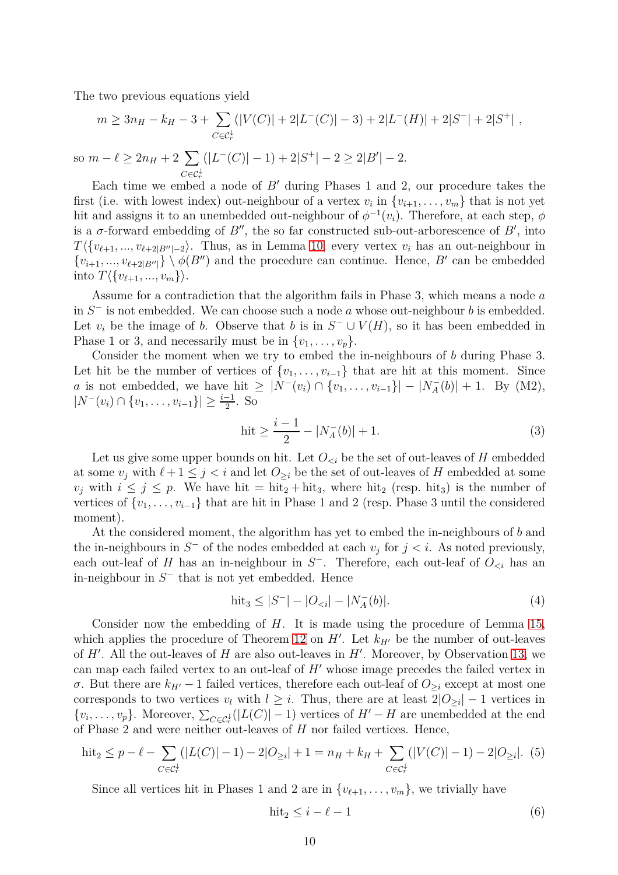The two previous equations yield

$$
m \ge 3n_H - k_H - 3 + \sum_{C \in \mathcal{C}_r^{\downarrow}} (|V(C)| + 2|L^-(C)| - 3) + 2|L^-(H)| + 2|S^-| + 2|S^+|,
$$

so  $m - \ell \geq 2n_H + 2 \sum$  $C \in \mathcal{C}^{\downarrow}_r$  $(|L^{-}(C)|-1)+2|S^{+}|-2 \geq 2|B'|-2.$ 

Each time we embed a node of *B*′ during Phases 1 and 2, our procedure takes the first (i.e. with lowest index) out-neighbour of a vertex  $v_i$  in  $\{v_{i+1}, \ldots, v_m\}$  that is not yet hit and assigns it to an unembedded out-neighbour of  $\phi^{-1}(v_i)$ . Therefore, at each step,  $\phi$ is a  $\sigma$ -forward embedding of  $B''$ , the so far constructed sub-out-arborescence of  $B'$ , into  $T\langle \{v_{\ell+1},...,v_{\ell+2|B''|-2}\rangle$ . Thus, as in Lemma [10,](#page-3-0) every vertex  $v_i$  has an out-neighbour in  $\{v_{i+1},...,v_{\ell+2|B''|}\}\setminus \phi(B'')$  and the procedure can continue. Hence, *B'* can be embedded into  $T\langle \{v_{\ell+1}, ..., v_m\}\rangle$ .

Assume for a contradiction that the algorithm fails in Phase 3, which means a node *a* in *S* <sup>−</sup> is not embedded. We can choose such a node *a* whose out-neighbour *b* is embedded. Let  $v_i$  be the image of *b*. Observe that *b* is in  $S^- \cup V(H)$ , so it has been embedded in Phase 1 or 3, and necessarily must be in  $\{v_1, \ldots, v_p\}$ .

Consider the moment when we try to embed the in-neighbours of *b* during Phase 3. Let hit be the number of vertices of  $\{v_1, \ldots, v_{i-1}\}\$  that are hit at this moment. Since *a* is not embedded, we have hit  $\geq |N^-(v_i) \cap \{v_1, \ldots, v_{i-1}\}| - |N_A^-(b)| + 1$ . By (M2),  $|N^-(v_i) \cap \{v_1, \ldots, v_{i-1}\}| \geq \frac{i-1}{2}$ . So

<span id="page-9-0"></span>
$$
hit \ge \frac{i-1}{2} - |N_A^-(b)| + 1.
$$
\n(3)

Let us give some upper bounds on hit. Let  $O_{\leq i}$  be the set of out-leaves of *H* embedded at some  $v_j$  with  $\ell + 1 \leq j < i$  and let  $O_{\geq i}$  be the set of out-leaves of *H* embedded at some  $v_i$  with  $i \leq j \leq p$ . We have hit = hit<sub>2</sub> + hit<sub>3</sub>, where hit<sub>2</sub> (resp. hit<sub>3</sub>) is the number of vertices of  $\{v_1, \ldots, v_{i-1}\}\$  that are hit in Phase 1 and 2 (resp. Phase 3 until the considered moment).

At the considered moment, the algorithm has yet to embed the in-neighbours of *b* and the in-neighbours in  $S^-$  of the nodes embedded at each  $v_j$  for  $j < i$ . As noted previously, each out-leaf of *H* has an in-neighbour in  $S^-$ . Therefore, each out-leaf of  $O_{\leq i}$  has an in-neighbour in *S* <sup>−</sup> that is not yet embedded. Hence

<span id="page-9-1"></span>
$$
hit_3 \le |S^-| - |O_{< i}| - |N_A^-(b)|. \tag{4}
$$

Consider now the embedding of *H*. It is made using the procedure of Lemma [15,](#page-6-1) which applies the procedure of Theorem [12](#page-4-3) on  $H'$ . Let  $k_{H'}$  be the number of out-leaves of *H*′ . All the out-leaves of *H* are also out-leaves in *H*′ . Moreover, by Observation [13,](#page-5-3) we can map each failed vertex to an out-leaf of *H*′ whose image precedes the failed vertex in *σ*. But there are  $k_{H'}$  – 1 failed vertices, therefore each out-leaf of  $O_{\geq i}$  except at most one corresponds to two vertices  $v_l$  with  $l \geq i$ . Thus, there are at least  $2|O_{\geq i}| - 1$  vertices in  $\{v_i, \ldots, v_p\}$ . Moreover,  $\sum_{C \in \mathcal{C}_r^{\downarrow}}(|L(C)| - 1)$  vertices of  $H' - H$  are unembedded at the end of Phase 2 and were neither out-leaves of *H* nor failed vertices. Hence,

<span id="page-9-2"></span>
$$
\text{hit}_2 \le p - \ell - \sum_{C \in \mathcal{C}_r^{\downarrow}} (|L(C)| - 1) - 2|O_{\geq i}| + 1 = n_H + k_H + \sum_{C \in \mathcal{C}_r^{\downarrow}} (|V(C)| - 1) - 2|O_{\geq i}|. (5)
$$

Since all vertices hit in Phases 1 and 2 are in  $\{v_{\ell+1}, \ldots, v_m\}$ , we trivially have

<span id="page-9-3"></span>
$$
\text{hit}_2 \le i - \ell - 1 \tag{6}
$$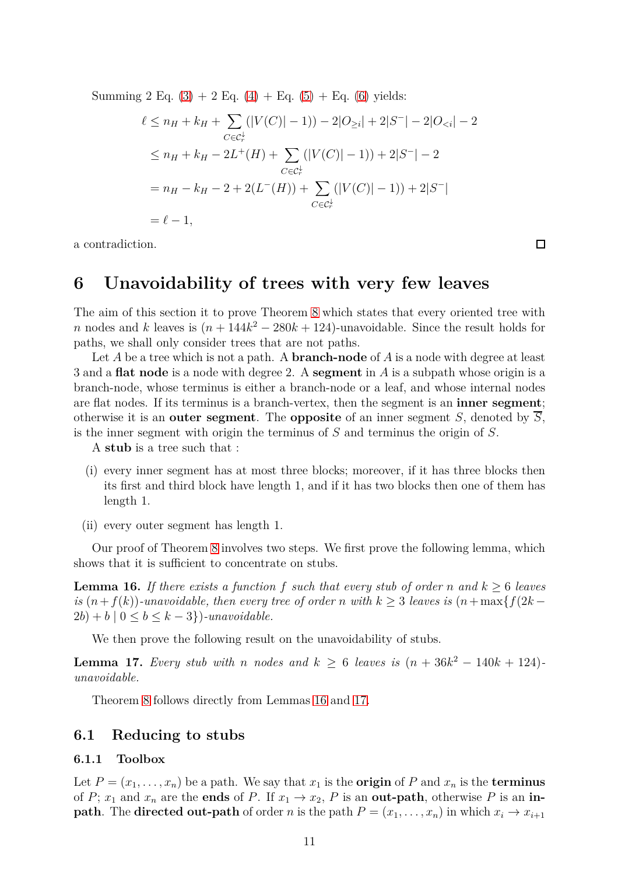Summing 2 Eq.  $(3) + 2$  $(3) + 2$  Eq.  $(4) +$  $(4) +$  Eq.  $(5) +$  Eq.  $(6)$  yields:

$$
\ell \le n_H + k_H + \sum_{C \in \mathcal{C}_r^{\downarrow}} (|V(C)| - 1)) - 2|O_{\geq i}| + 2|S^-| - 2|O_{\leq i}| - 2
$$
  
\n
$$
\le n_H + k_H - 2L^+(H) + \sum_{C \in \mathcal{C}_r^{\downarrow}} (|V(C)| - 1)) + 2|S^-| - 2
$$
  
\n
$$
= n_H - k_H - 2 + 2(L^-(H)) + \sum_{C \in \mathcal{C}_r^{\downarrow}} (|V(C)| - 1)) + 2|S^-|
$$
  
\n
$$
= \ell - 1,
$$

<span id="page-10-0"></span>a contradiction.

## **6 Unavoidability of trees with very few leaves**

The aim of this section it to prove Theorem [8](#page-2-0) which states that every oriented tree with *n* nodes and *k* leaves is  $(n + 144k^2 - 280k + 124)$ -unavoidable. Since the result holds for paths, we shall only consider trees that are not paths.

Let *A* be a tree which is not a path. A **branch-node** of *A* is a node with degree at least 3 and a **flat node** is a node with degree 2. A **segment** in *A* is a subpath whose origin is a branch-node, whose terminus is either a branch-node or a leaf, and whose internal nodes are flat nodes. If its terminus is a branch-vertex, then the segment is an **inner segment**; otherwise it is an **outer segment**. The **opposite** of an inner segment *S*, denoted by  $\overline{S}$ , is the inner segment with origin the terminus of *S* and terminus the origin of *S*.

A **stub** is a tree such that :

- (i) every inner segment has at most three blocks; moreover, if it has three blocks then its first and third block have length 1, and if it has two blocks then one of them has length 1.
- (ii) every outer segment has length 1.

Our proof of Theorem [8](#page-2-0) involves two steps. We first prove the following lemma, which shows that it is sufficient to concentrate on stubs.

<span id="page-10-1"></span>**Lemma 16.** *If there exists a function f such that every stub of order n* and  $k \geq 6$  *leaves is*  $(n+f(k))$ -unavoidable, then every tree of order *n* with  $k \geq 3$  leaves is  $(n + max{f(2k 2b$ ) + *b*  $\mid 0 \leq b \leq k-3$ } $\mid$ -unavoidable.

We then prove the following result on the unavoidability of stubs.

<span id="page-10-2"></span>**Lemma 17.** *Every stub with n nodes and*  $k \geq 6$  *leaves is*  $(n + 36k^2 - 140k + 124)$ *unavoidable.*

Theorem [8](#page-2-0) follows directly from Lemmas [16](#page-10-1) and [17.](#page-10-2)

### **6.1 Reducing to stubs**

#### **6.1.1 Toolbox**

Let  $P = (x_1, \ldots, x_n)$  be a path. We say that  $x_1$  is the **origin** of  $P$  and  $x_n$  is the **terminus** of *P*;  $x_1$  and  $x_n$  are the **ends** of *P*. If  $x_1 \rightarrow x_2$ , *P* is an **out-path**, otherwise *P* is an **inpath**. The **directed out-path** of order *n* is the path  $P = (x_1, \ldots, x_n)$  in which  $x_i \rightarrow x_{i+1}$ 

 $\Box$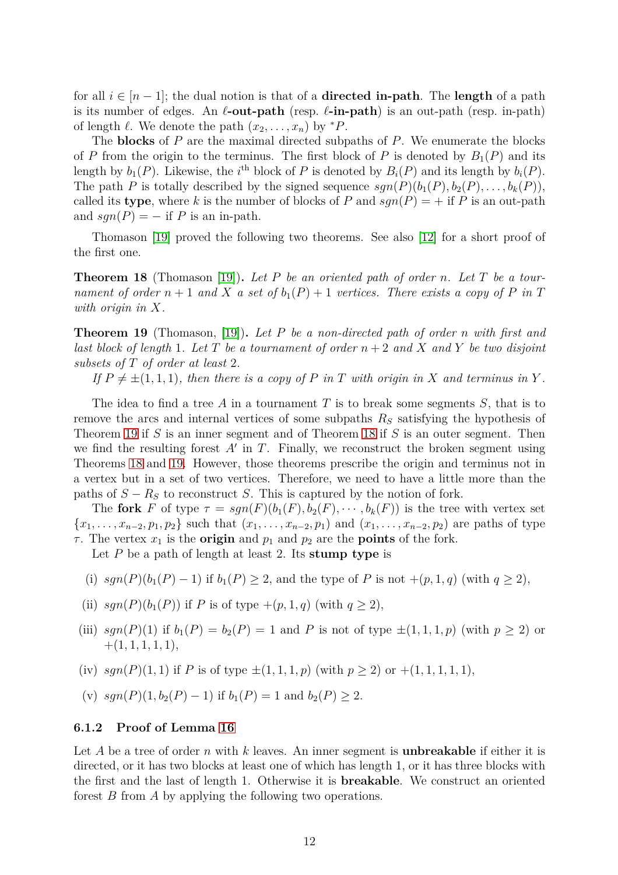for all  $i \in [n-1]$ ; the dual notion is that of a **directed in-path**. The **length** of a path is its number of edges. An *ℓ***-out-path** (resp. *ℓ***-in-path**) is an out-path (resp. in-path) of length  $\ell$ . We denote the path  $(x_2, \ldots, x_n)$  by  ${}^*P$ .

The **blocks** of *P* are the maximal directed subpaths of *P*. We enumerate the blocks of *P* from the origin to the terminus. The first block of *P* is denoted by  $B_1(P)$  and its length by  $b_1(P)$ . Likewise, the *i*<sup>th</sup> block of *P* is denoted by  $B_i(P)$  and its length by  $b_i(P)$ . The path *P* is totally described by the signed sequence  $sgn(P)(b_1(P), b_2(P), \ldots, b_k(P))$ , called its **type**, where k is the number of blocks of P and  $sgn(P) = +$  if P is an out-path and  $sgn(P) = -$  if *P* is an in-path.

Thomason [\[19\]](#page-19-5) proved the following two theorems. See also [\[12\]](#page-19-6) for a short proof of the first one.

<span id="page-11-1"></span>**Theorem 18** (Thomason [\[19\]](#page-19-5))**.** *Let P be an oriented path of order n. Let T be a tournament of order*  $n + 1$  *and*  $X$  *a set of*  $b_1(P) + 1$  *vertices. There exists a copy of*  $P$  *in*  $T$ *with origin in X.*

<span id="page-11-0"></span>**Theorem 19** (Thomason, [\[19\]](#page-19-5))**.** *Let P be a non-directed path of order n with first and last block of length* 1*. Let T be a tournament of order n* + 2 *and X and Y be two disjoint subsets of T of order at least* 2*.*

If  $P \neq \pm (1, 1, 1)$ *, then there is a copy of P in T with origin in X and terminus in Y*.

The idea to find a tree *A* in a tournament *T* is to break some segments *S*, that is to remove the arcs and internal vertices of some subpaths *R<sup>S</sup>* satisfying the hypothesis of Theorem [19](#page-11-0) if *S* is an inner segment and of Theorem [18](#page-11-1) if *S* is an outer segment. Then we find the resulting forest  $A'$  in  $T$ . Finally, we reconstruct the broken segment using Theorems [18](#page-11-1) and [19.](#page-11-0) However, those theorems prescribe the origin and terminus not in a vertex but in a set of two vertices. Therefore, we need to have a little more than the paths of  $S - R_S$  to reconstruct *S*. This is captured by the notion of fork.

The **fork** *F* of type  $\tau = sgn(F)(b_1(F), b_2(F), \cdots, b_k(F))$  is the tree with vertex set  ${x_1, \ldots, x_{n-2}, p_1, p_2}$  such that  $(x_1, \ldots, x_{n-2}, p_1)$  and  $(x_1, \ldots, x_{n-2}, p_2)$  are paths of type *τ*. The vertex  $x_1$  is the **origin** and  $p_1$  and  $p_2$  are the **points** of the fork.

Let *P* be a path of length at least 2. Its **stump type** is

- (i)  $\text{sgn}(P)(b_1(P) 1)$  if  $b_1(P) \geq 2$ , and the type of *P* is not  $+(p, 1, q)$  (with  $q \geq 2$ ),
- (ii)  $sgn(P)(b_1(P))$  if *P* is of type  $+(p, 1, q)$  (with  $q \ge 2$ ),
- (iii)  $sgn(P)(1)$  if  $b_1(P) = b_2(P) = 1$  and P is not of type  $\pm(1,1,1,p)$  (with  $p \geq 2$ ) or  $+(1, 1, 1, 1, 1),$
- (iv)  $sgn(P)(1,1)$  if *P* is of type  $\pm(1,1,1,p)$  (with  $p \ge 2$ ) or  $+(1,1,1,1,1)$ ,
- (v)  $sgn(P)(1, b_2(P) 1)$  if  $b_1(P) = 1$  and  $b_2(P) \ge 2$ .

#### **6.1.2 Proof of Lemma [16](#page-10-1)**

Let *A* be a tree of order *n* with *k* leaves. An inner segment is **unbreakable** if either it is directed, or it has two blocks at least one of which has length 1, or it has three blocks with the first and the last of length 1. Otherwise it is **breakable**. We construct an oriented forest *B* from *A* by applying the following two operations.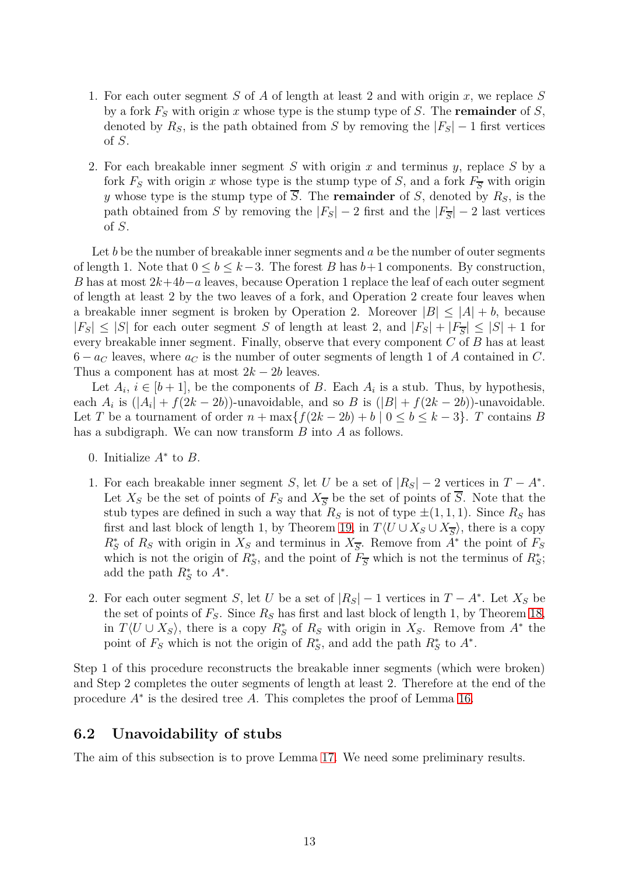- 1. For each outer segment *S* of *A* of length at least 2 and with origin *x*, we replace *S* by a fork *F<sup>S</sup>* with origin *x* whose type is the stump type of *S*. The **remainder** of *S*, denoted by  $R_S$ , is the path obtained from *S* by removing the  $|F_S| - 1$  first vertices of *S*.
- 2. For each breakable inner segment *S* with origin *x* and terminus *y*, replace *S* by a fork  $F<sub>S</sub>$  with origin *x* whose type is the stump type of *S*, and a fork  $F<sub>S</sub>$  with origin *y* whose type is the stump type of  $\overline{S}$ . The **remainder** of *S*, denoted by  $R_S$ , is the path obtained from *S* by removing the  $|F_S| - 2$  first and the  $|F_{\overline{S}}| - 2$  last vertices of *S*.

Let *b* be the number of breakable inner segments and *a* be the number of outer segments of length 1. Note that  $0 \leq b \leq k-3$ . The forest *B* has  $b+1$  components. By construction, *B* has at most 2*k*+4*b*−*a* leaves, because Operation 1 replace the leaf of each outer segment of length at least 2 by the two leaves of a fork, and Operation 2 create four leaves when a breakable inner segment is broken by Operation 2. Moreover  $|B| \leq |A| + b$ , because  $|F_S| \leq |S|$  for each outer segment *S* of length at least 2, and  $|F_S| + |F_{\overline{S}}| \leq |S| + 1$  for every breakable inner segment. Finally, observe that every component *C* of *B* has at least  $6 - a_C$  leaves, where  $a_C$  is the number of outer segments of length 1 of *A* contained in *C*. Thus a component has at most  $2k - 2b$  leaves.

Let  $A_i$ ,  $i \in [b+1]$ , be the components of *B*. Each  $A_i$  is a stub. Thus, by hypothesis, each  $A_i$  is  $(|A_i| + f(2k - 2b))$ -unavoidable, and so  $B$  is  $(|B| + f(2k - 2b))$ -unavoidable. Let *T* be a tournament of order  $n + \max\{f(2k - 2b) + b \mid 0 \leq b \leq k - 3\}$ . *T* contains *B* has a subdigraph. We can now transform *B* into *A* as follows.

- 0. Initialize *A*<sup>∗</sup> to *B*.
- 1. For each breakable inner segment *S*, let *U* be a set of  $|R_S| 2$  vertices in  $T A^*$ . Let  $X_S$  be the set of points of  $F_S$  and  $X_{\overline{S}}$  be the set of points of  $\overline{S}$ . Note that the stub types are defined in such a way that  $R<sub>S</sub>$  is not of type  $\pm(1,1,1)$ . Since  $R<sub>S</sub>$  has first and last block of length 1, by Theorem [19,](#page-11-0) in  $T\langle U \cup X_S \cup X_{\overline{S}} \rangle$ , there is a copy  $R^*_S$  of  $R_S$  with origin in  $X_S$  and terminus in  $X_{\overline{S}}$ . Remove from  $A^*$  the point of  $F_S$ which is not the origin of  $R_S^*$ , and the point of  $F_{\overline{S}}$  which is not the terminus of  $R_S^*$ ; add the path  $R_S^*$  to  $A^*$ .
- 2. For each outer segment *S*, let *U* be a set of  $|R_S| 1$  vertices in  $T A^*$ . Let  $X_S$  be the set of points of  $F_S$ . Since  $R_S$  has first and last block of length 1, by Theorem [18,](#page-11-1) in  $T\langle U \cup X_S \rangle$ , there is a copy  $R_S^*$  of  $R_S$  with origin in  $X_S$ . Remove from  $A^*$  the point of  $F_S$  which is not the origin of  $R_S^*$ , and add the path  $R_S^*$  to  $A^*$ .

Step 1 of this procedure reconstructs the breakable inner segments (which were broken) and Step 2 completes the outer segments of length at least 2. Therefore at the end of the procedure  $A^*$  is the desired tree A. This completes the proof of Lemma [16.](#page-10-1)

### **6.2 Unavoidability of stubs**

The aim of this subsection is to prove Lemma [17.](#page-10-2) We need some preliminary results.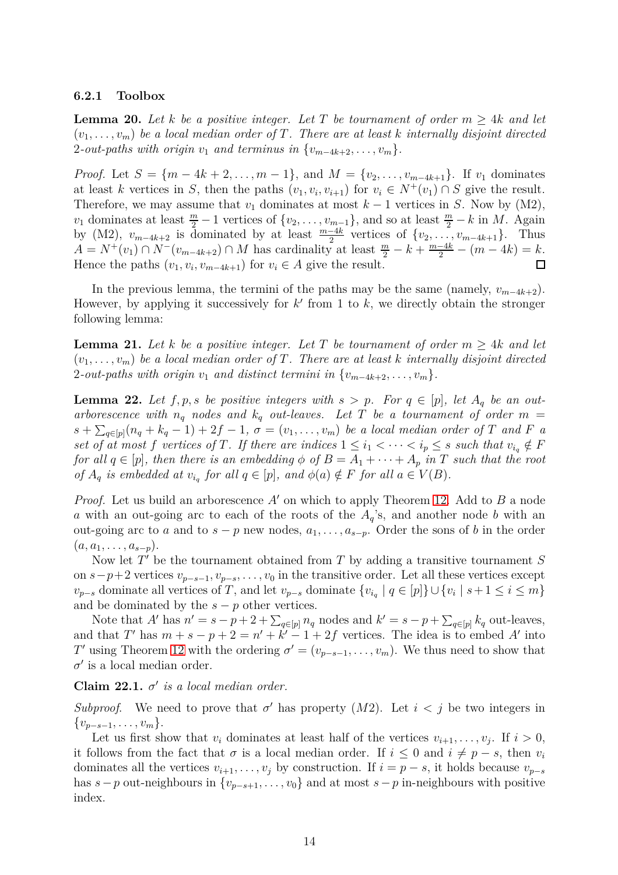#### **6.2.1 Toolbox**

**Lemma 20.** Let *k* be a positive integer. Let T be tournament of order  $m > 4k$  and let  $(v_1, \ldots, v_m)$  be a local median order of T. There are at least k internally disjoint directed 2*-out-paths with origin*  $v_1$  *and terminus in*  $\{v_{m-4k+2}, \ldots, v_m\}$ .

*Proof.* Let  $S = \{m - 4k + 2, \ldots, m - 1\}$ , and  $M = \{v_2, \ldots, v_{m-4k+1}\}$ . If  $v_1$  dominates at least *k* vertices in *S*, then the paths  $(v_1, v_i, v_{i+1})$  for  $v_i \in N^+(v_1) \cap S$  give the result. Therefore, we may assume that  $v_1$  dominates at most  $k-1$  vertices in *S*. Now by (M2), *v*<sub>1</sub> dominates at least  $\frac{m}{2} - 1$  vertices of  $\{v_2, \ldots, v_{m-1}\}$ , and so at least  $\frac{m}{2} - k$  in *M*. Again by (M2),  $v_{m-4k+2}$  is dominated by at least  $\frac{m-4k}{2}$  vertices of  $\{v_2, \ldots, v_{m-4k+1}\}$ . Thus  $A = N^+(v_1) \cap N^-(v_{m-4k+2}) \cap M$  has cardinality at least  $\frac{m}{2} - k + \frac{m-4k}{2} - (m-4k) = k$ . Hence the paths  $(v_1, v_i, v_{m-4k+1})$  for  $v_i \in A$  give the result. 囗

In the previous lemma, the termini of the paths may be the same (namely,  $v_{m-4k+2}$ ). However, by applying it successively for  $k'$  from 1 to  $k$ , we directly obtain the stronger following lemma:

<span id="page-13-0"></span>**Lemma 21.** Let *k* be a positive integer. Let T be tournament of order  $m \geq 4k$  and let  $(v_1, \ldots, v_m)$  be a local median order of T. There are at least k internally disjoint directed 2*-out-paths with origin*  $v_1$  *and distinct termini in*  $\{v_{m-4k+2}, \ldots, v_m\}$ .

<span id="page-13-1"></span>**Lemma 22.** Let  $f, p, s$  be positive integers with  $s > p$ . For  $q \in [p]$ , let  $A_q$  be an outarborescence with  $n_q$  nodes and  $k_q$  out-leaves. Let T be a tournament of order  $m =$  $s + \sum_{q \in [p]} (n_q + k_q - 1) + 2f - 1$ ,  $\sigma = (v_1, \ldots, v_m)$  *be a local median order of T and F a set of at most f vertices of T. If there are indices*  $1 \leq i_1 < \cdots < i_p \leq s$  *such that*  $v_{i_q} \notin F$ *for all*  $q \in [p]$ *, then there is an embedding*  $\phi$  *of*  $B = A_1 + \cdots + A_p$  *in T such that the root of*  $A_q$  *is embedded at*  $v_{i_q}$  *for all*  $q \in [p]$ *, and*  $\phi(a) \notin F$  *for all*  $a \in V(B)$ *.* 

*Proof.* Let us build an arborescence *A*′ on which to apply Theorem [12.](#page-4-3) Add to *B* a node *a* with an out-going arc to each of the roots of the *Aq*'s, and another node *b* with an out-going arc to *a* and to  $s - p$  new nodes,  $a_1, \ldots, a_{s-p}$ . Order the sons of *b* in the order  $(a, a_1, \ldots, a_{s-p}).$ 

Now let *T* ′ be the tournament obtained from *T* by adding a transitive tournament *S* on  $s-p+2$  vertices  $v_{p-s-1}, v_{p-s}, \ldots, v_0$  in the transitive order. Let all these vertices except  $v_{p-s}$  dominate all vertices of *T*, and let  $v_{p-s}$  dominate  $\{v_{i_q} \mid q \in [p]\} \cup \{v_i \mid s+1 \leq i \leq m\}$ and be dominated by the  $s - p$  other vertices.

Note that *A*' has  $n' = s - p + 2 + \sum_{q \in [p]} n_q$  nodes and  $k' = s - p + \sum_{q \in [p]} k_q$  out-leaves, and that *T'* has  $m + s - p + 2 = n' + k' - 1 + 2f$  vertices. The idea is to embed *A'* into *T*′ using Theorem [12](#page-4-3) with the ordering  $\sigma' = (v_{p-s-1}, \ldots, v_m)$ . We thus need to show that  $\sigma'$  is a local median order.

### Claim  $22.1. \sigma'$  *is a local median order.*

*Subproof.* We need to prove that  $\sigma'$  has property  $(M2)$ . Let  $i < j$  be two integers in  $\{v_{p-s-1}, \ldots, v_m\}.$ 

Let us first show that  $v_i$  dominates at least half of the vertices  $v_{i+1}, \ldots, v_j$ . If  $i > 0$ , it follows from the fact that  $\sigma$  is a local median order. If  $i \leq 0$  and  $i \neq p - s$ , then  $v_i$ dominates all the vertices  $v_{i+1}, \ldots, v_j$  by construction. If  $i = p - s$ , it holds because  $v_{p-s}$ has  $s - p$  out-neighbours in  $\{v_{p-s+1}, \ldots, v_0\}$  and at most  $s - p$  in-neighbours with positive index.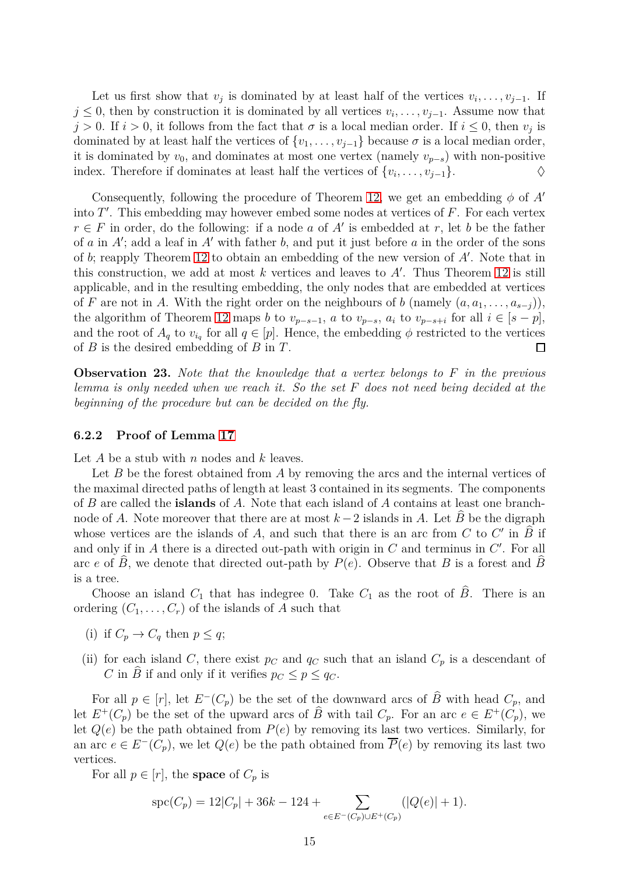Let us first show that  $v_j$  is dominated by at least half of the vertices  $v_i, \ldots, v_{j-1}$ . If *j* ≤ 0, then by construction it is dominated by all vertices  $v_i, \ldots, v_{j-1}$ . Assume now that  $j > 0$ . If  $i > 0$ , it follows from the fact that  $\sigma$  is a local median order. If  $i \leq 0$ , then  $v_j$  is dominated by at least half the vertices of  $\{v_1, \ldots, v_{j-1}\}$  because  $\sigma$  is a local median order, it is dominated by  $v_0$ , and dominates at most one vertex (namely  $v_{p-s}$ ) with non-positive index. Therefore if dominates at least half the vertices of  $\{v_i, \ldots, v_{j-1}\}.$   $\diamond$ 

Consequently, following the procedure of Theorem [12,](#page-4-3) we get an embedding *φ* of *A*′ into *T* ′ . This embedding may however embed some nodes at vertices of *F*. For each vertex *r* ∈ *F* in order, do the following: if a node *a* of  $A'$  is embedded at *r*, let *b* be the father of *a* in *A*′ ; add a leaf in *A*′ with father *b*, and put it just before *a* in the order of the sons of *b*; reapply Theorem [12](#page-4-3) to obtain an embedding of the new version of *A*′ . Note that in this construction, we add at most *k* vertices and leaves to *A*′ . Thus Theorem [12](#page-4-3) is still applicable, and in the resulting embedding, the only nodes that are embedded at vertices of *F* are not in *A*. With the right order on the neighbours of *b* (namely  $(a, a_1, \ldots, a_{s-j})$ ), the algorithm of Theorem [12](#page-4-3) maps *b* to  $v_{p-s-1}$ , *a* to  $v_{p-s}$ ,  $a_i$  to  $v_{p-s+i}$  for all  $i \in [s-p]$ , and the root of  $A_q$  to  $v_{i_q}$  for all  $q \in [p]$ . Hence, the embedding  $\phi$  restricted to the vertices of *B* is the desired embedding of *B* in *T*.  $\Box$ 

**Observation 23.** *Note that the knowledge that a vertex belongs to F in the previous lemma is only needed when we reach it. So the set F does not need being decided at the beginning of the procedure but can be decided on the fly.*

#### **6.2.2 Proof of Lemma [17](#page-10-2)**

Let *A* be a stub with *n* nodes and *k* leaves.

Let *B* be the forest obtained from *A* by removing the arcs and the internal vertices of the maximal directed paths of length at least 3 contained in its segments. The components of *B* are called the **islands** of *A*. Note that each island of *A* contains at least one branchnode of *A*. Note moreover that there are at most  $k-2$  islands in *A*. Let  $\widehat{B}$  be the digraph whose vertices are the islands of *A*, and such that there is an arc from *C* to *C'* in  $\widehat{B}$  if and only if in A there is a directed out-path with origin in C and terminus in C'. For all arc *e* of  $\hat{B}$ , we denote that directed out-path by  $P(e)$ . Observe that *B* is a forest and  $\hat{B}$ is a tree.

Choose an island  $C_1$  that has indegree 0. Take  $C_1$  as the root of  $B$ . There is an ordering  $(C_1, \ldots, C_r)$  of the islands of *A* such that

- (i) if  $C_p \to C_q$  then  $p \leq q$ ;
- (ii) for each island *C*, there exist  $p_C$  and  $q_C$  such that an island  $C_p$  is a descendant of *C* in *B* if and only if it verifies  $p_C \leq p \leq q_C$ .

For all  $p \in [r]$ , let  $E^{-}(C_p)$  be the set of the downward arcs of  $\hat{B}$  with head  $C_p$ , and let  $E^+(C_p)$  be the set of the upward arcs of  $\hat{B}$  with tail  $C_p$ . For an arc  $e \in E^+(C_p)$ , we let  $Q(e)$  be the path obtained from  $P(e)$  by removing its last two vertices. Similarly, for an arc  $e \in E^-(C_p)$ , we let  $Q(e)$  be the path obtained from  $\overline{P}(e)$  by removing its last two vertices.

For all  $p \in [r]$ , the **space** of  $C_p$  is

$$
\operatorname{spc}(C_p) = 12|C_p| + 36k - 124 + \sum_{e \in E^-(C_p) \cup E^+(C_p)} (|Q(e)| + 1).
$$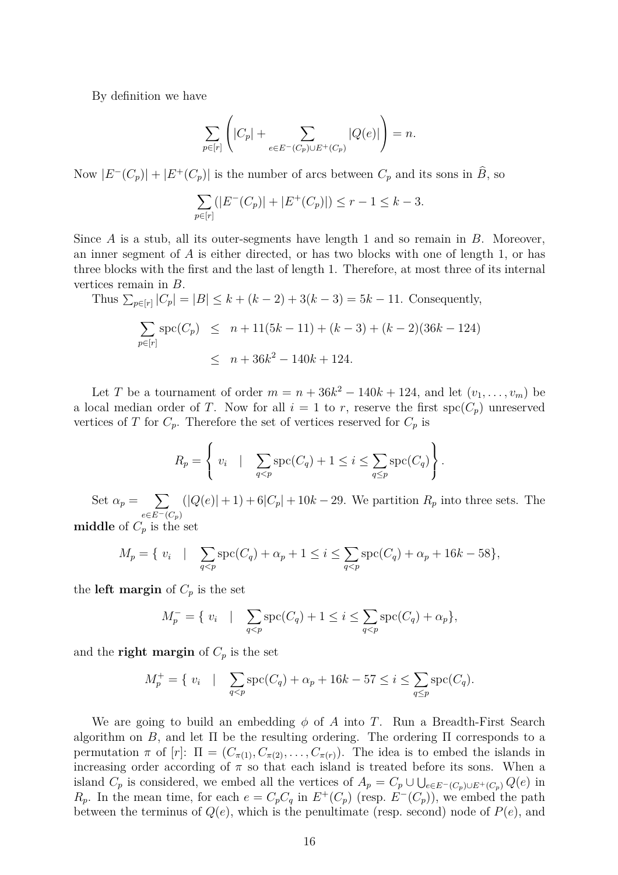By definition we have

$$
\sum_{p\in [r]}\left(|C_p|+\sum_{e\in E^-(C_p)\cup E^+(C_p)}|Q(e)|\right)=n.
$$

Now  $|E^{-}(C_{p})| + |E^{+}(C_{p})|$  is the number of arcs between  $C_{p}$  and its sons in  $\widehat{B}$ , so

$$
\sum_{p \in [r]} (|E^-(C_p)| + |E^+(C_p)|) \le r - 1 \le k - 3.
$$

Since *A* is a stub, all its outer-segments have length 1 and so remain in *B*. Moreover, an inner segment of *A* is either directed, or has two blocks with one of length 1, or has three blocks with the first and the last of length 1. Therefore, at most three of its internal vertices remain in *B*.

Thus 
$$
\sum_{p \in [r]} |C_p| = |B| \le k + (k-2) + 3(k-3) = 5k - 11
$$
. Consequently,

$$
\sum_{p \in [r]} \text{spc}(C_p) \le n + 11(5k - 11) + (k - 3) + (k - 2)(36k - 124)
$$
  

$$
\le n + 36k^2 - 140k + 124.
$$

Let *T* be a tournament of order  $m = n + 36k^2 - 140k + 124$ , and let  $(v_1, \ldots, v_m)$  be a local median order of *T*. Now for all  $i = 1$  to *r*, reserve the first  $spc(C_p)$  unreserved vertices of *T* for  $C_p$ . Therefore the set of vertices reserved for  $C_p$  is

$$
R_p = \left\{ v_i \quad | \quad \sum_{q < p} \operatorname{spc}(C_q) + 1 \le i \le \sum_{q \le p} \operatorname{spc}(C_q) \right\}.
$$

Set  $\alpha_p = \sum$ *e*∈*E*−(*Cp*)  $(|Q(e)|+1)+6|C_p|+10k-29$ . We partition  $R_p$  into three sets. The

**middle** of  $C_p$  is the set

$$
M_p = \{ v_i \mid \sum_{q < p} \text{spc}(C_q) + \alpha_p + 1 \leq i \leq \sum_{q < p} \text{spc}(C_q) + \alpha_p + 16k - 58 \},
$$

the **left margin** of  $C_p$  is the set

$$
M_p^- = \{ v_i \mid \sum_{q < p} \text{spc}(C_q) + 1 \le i \le \sum_{q < p} \text{spc}(C_q) + \alpha_p \},
$$

and the **right margin** of  $C_p$  is the set

$$
M_p^+ = \{ v_i \mid \sum_{q < p} \text{spc}(C_q) + \alpha_p + 16k - 57 \le i \le \sum_{q \le p} \text{spc}(C_q).
$$

We are going to build an embedding  $\phi$  of *A* into *T*. Run a Breadth-First Search algorithm on *B*, and let  $\Pi$  be the resulting ordering. The ordering  $\Pi$  corresponds to a permutation  $\pi$  of  $[r]$ :  $\Pi = (C_{\pi(1)}, C_{\pi(2)}, \ldots, C_{\pi(r)})$ . The idea is to embed the islands in increasing order according of  $\pi$  so that each island is treated before its sons. When a island  $C_p$  is considered, we embed all the vertices of  $A_p = C_p \cup \bigcup_{e \in E^-(C_p) \cup E^+(C_p)} Q(e)$  in *R*<sub>p</sub>. In the mean time, for each  $e = C_p C_q$  in  $E^+(C_p)$  (resp.  $E^-(C_p)$ ), we embed the path between the terminus of  $Q(e)$ , which is the penultimate (resp. second) node of  $P(e)$ , and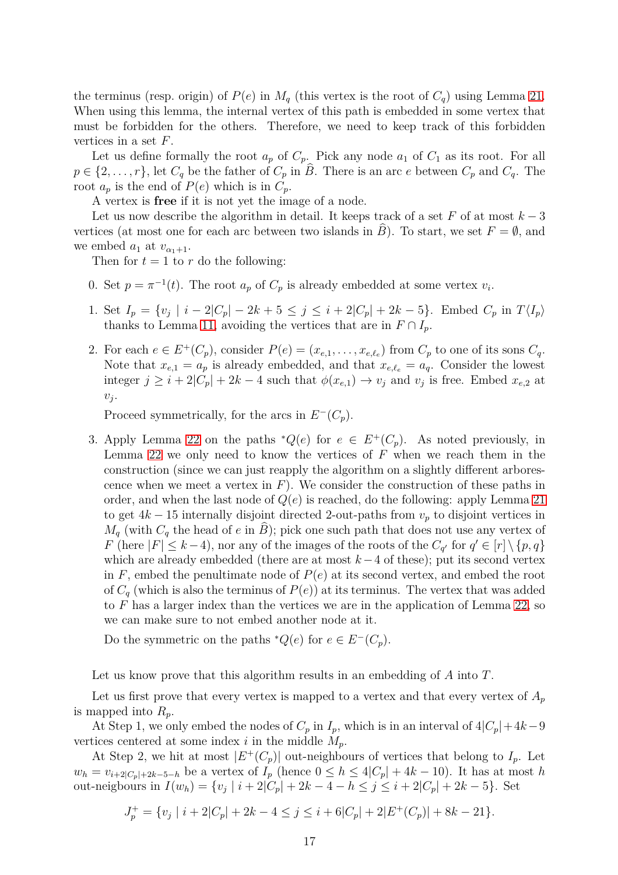the terminus (resp. origin) of  $P(e)$  in  $M_q$  (this vertex is the root of  $C_q$ ) using Lemma [21.](#page-13-0) When using this lemma, the internal vertex of this path is embedded in some vertex that must be forbidden for the others. Therefore, we need to keep track of this forbidden vertices in a set *F*.

Let us define formally the root  $a_p$  of  $C_p$ . Pick any node  $a_1$  of  $C_1$  as its root. For all  $p \in \{2, \ldots, r\}$ , let  $C_q$  be the father of  $C_p$  in *B*. There is an arc *e* between  $C_p$  and  $C_q$ . The root  $a_p$  is the end of  $P(e)$  which is in  $C_p$ .

A vertex is **free** if it is not yet the image of a node.

Let us now describe the algorithm in detail. It keeps track of a set  $F$  of at most  $k-3$ vertices (at most one for each arc between two islands in *B*). To start, we set  $F = \emptyset$ , and we embed  $a_1$  at  $v_{\alpha_1+1}$ .

Then for  $t = 1$  to  $r$  do the following:

- 0. Set  $p = \pi^{-1}(t)$ . The root  $a_p$  of  $C_p$  is already embedded at some vertex  $v_i$ .
- 1. Set  $I_p = \{v_j \mid i 2|C_p| 2k + 5 \le j \le i + 2|C_p| + 2k 5\}$ . Embed  $C_p$  in  $T\langle I_p \rangle$ thanks to Lemma [11,](#page-3-1) avoiding the vertices that are in  $F \cap I_n$ .
- 2. For each  $e \in E^+(C_p)$ , consider  $P(e) = (x_{e,1}, \ldots, x_{e,\ell_e})$  from  $C_p$  to one of its sons  $C_q$ . Note that  $x_{e,1} = a_p$  is already embedded, and that  $x_{e,\ell_e} = a_q$ . Consider the lowest integer  $j \geq i + 2|C_p| + 2k - 4$  such that  $\phi(x_{e,1}) \to v_j$  and  $v_j$  is free. Embed  $x_{e,2}$  at  $v_j$ .

Proceed symmetrically, for the arcs in  $E^{-}(C_{p})$ .

3. Apply Lemma [22](#page-13-1) on the paths  $^*Q(e)$  for  $e \in E^+(C_p)$ . As noted previously, in Lemma [22](#page-13-1) we only need to know the vertices of *F* when we reach them in the construction (since we can just reapply the algorithm on a slightly different arborescence when we meet a vertex in  $F$ ). We consider the construction of these paths in order, and when the last node of  $Q(e)$  is reached, do the following: apply Lemma [21](#page-13-0) to get  $4k - 15$  internally disjoint directed 2-out-paths from  $v_p$  to disjoint vertices in  $M_q$  (with  $C_q$  the head of *e* in *B*); pick one such path that does not use any vertex of *F* (here  $|F| \leq k-4$ ), nor any of the images of the roots of the  $C_{q'}$  for  $q' \in [r] \setminus \{p,q\}$ which are already embedded (there are at most *k*−4 of these); put its second vertex in  $F$ , embed the penultimate node of  $P(e)$  at its second vertex, and embed the root of  $C_q$  (which is also the terminus of  $P(e)$ ) at its terminus. The vertex that was added to *F* has a larger index than the vertices we are in the application of Lemma [22,](#page-13-1) so we can make sure to not embed another node at it.

Do the symmetric on the paths  $^*Q(e)$  for  $e \in E^-(C_p)$ .

Let us know prove that this algorithm results in an embedding of *A* into *T*.

Let us first prove that every vertex is mapped to a vertex and that every vertex of  $A_p$ is mapped into  $R_p$ .

At Step 1, we only embed the nodes of  $C_p$  in  $I_p$ , which is in an interval of  $4|C_p|+4k-9$ vertices centered at some index *i* in the middle  $M_p$ .

At Step 2, we hit at most  $|E^+(C_p)|$  out-neighbours of vertices that belong to  $I_p$ . Let  $w_h = v_{i+2|C_p|+2k-5-h}$  be a vertex of  $I_p$  (hence  $0 \leq h \leq 4|C_p| + 4k - 10$ ). It has at most *h* out-neigbours in  $I(w_h) = \{v_j \mid i + 2|C_p| + 2k - 4 - h \le j \le i + 2|C_p| + 2k - 5\}$ . Set

$$
J_p^+ = \{v_j \mid i + 2|C_p| + 2k - 4 \le j \le i + 6|C_p| + 2|E^+(C_p)| + 8k - 21\}.
$$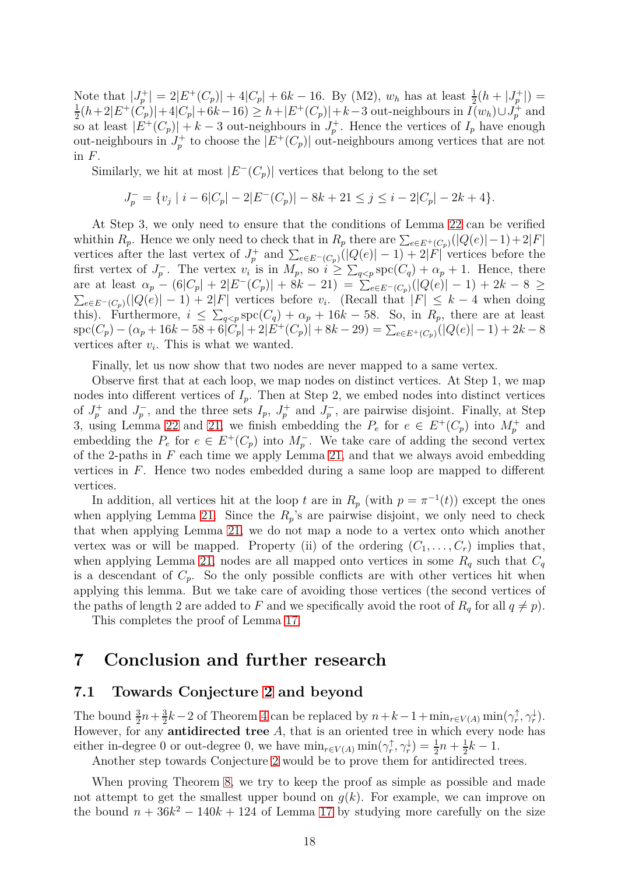Note that  $|J_p^+| = 2|E^+(C_p)| + 4|C_p| + 6k - 16$ . By (M2),  $w_h$  has at least  $\frac{1}{2}(h + |J_p^+|) =$ 1  $\frac{1}{2}(h+2|E^+(C_p)|+4|C_p|+6k-16) \geq h+|E^+(C_p)|+k-3$  out-neighbours in  $I(w_h) \cup J_p^+$  and so at least  $|E^+(C_p)| + k - 3$  out-neighbours in  $J_p^+$ . Hence the vertices of  $I_p$  have enough out-neighbours in  $J_p^+$  to choose the  $|E^+(C_p)|$  out-neighbours among vertices that are not in *F*.

Similarly, we hit at most  $|E^{-}(C_{p})|$  vertices that belong to the set

$$
J_p^- = \{v_j \mid i-6|C_p|-2|E^-(C_p)|-8k+21 \le j \le i-2|C_p|-2k+4\}.
$$

At Step 3, we only need to ensure that the conditions of Lemma [22](#page-13-1) can be verified whithin  $R_p$ . Hence we only need to check that in  $R_p$  there are  $\sum_{e \in E^+(C_p)}(|Q(e)|-1)+2|F|$ vertices after the last vertex of  $J_p^+$  and  $\sum_{e \in E^-(C_p)} (|Q(e)| - 1) + 2|F|$  vertices before the first vertex of  $J_p^-$ . The vertex  $v_i$  is in  $M_p$ , so  $i \geq \sum_{q < p} \mathrm{spc}(C_q) + \alpha_p + 1$ . Hence, there  $\alpha$ <sup>p</sup> – (6| $C_p$ | + 2| $E^{-}(C_p)$ | + 8 $k-21$ ) =  $\sum_{e \in E^{-}(C_p)}(|Q(e)|-1) + 2k-8 \ge$  $\sum_{e \in E^{-}(C_{p})} (|Q(e)| - 1) + 2|F|$  vertices before  $v_i$ . (Recall that  $|F| \leq k - 4$  when doing this). Furthermore,  $i \leq \sum_{q < p} \text{spc}(C_q) + \alpha_p + 16k - 58$ . So, in  $R_p$ , there are at least  $\text{spec}(C_p) - (\alpha_p + 16k - 58 + 6|\tilde{C}_p| + 2|E^+(C_p)| + 8k - 29) = \sum_{e \in E^+(C_p)}(|Q(e)| - 1) + 2k - 8$ vertices after  $v_i$ . This is what we wanted.

Finally, let us now show that two nodes are never mapped to a same vertex.

Observe first that at each loop, we map nodes on distinct vertices. At Step 1, we map nodes into different vertices of  $I_p$ . Then at Step 2, we embed nodes into distinct vertices of  $J_p^+$  and  $J_p^-$ , and the three sets  $I_p$ ,  $J_p^+$  and  $J_p^-$ , are pairwise disjoint. Finally, at Step 3, using Lemma [22](#page-13-1) and [21,](#page-13-0) we finish embedding the  $P_e$  for  $e \in E^+(C_p)$  into  $M_p^+$  and embedding the  $P_e$  for  $e \in E^+(C_p)$  into  $M_p^-$ . We take care of adding the second vertex of the 2-paths in *F* each time we apply Lemma [21,](#page-13-0) and that we always avoid embedding vertices in *F*. Hence two nodes embedded during a same loop are mapped to different vertices.

In addition, all vertices hit at the loop *t* are in  $R_p$  (with  $p = \pi^{-1}(t)$ ) except the ones when applying Lemma [21.](#page-13-0) Since the  $R_p$ 's are pairwise disjoint, we only need to check that when applying Lemma [21,](#page-13-0) we do not map a node to a vertex onto which another vertex was or will be mapped. Property (ii) of the ordering  $(C_1, \ldots, C_r)$  implies that, when applying Lemma [21,](#page-13-0) nodes are all mapped onto vertices in some  $R_q$  such that  $C_q$ is a descendant of  $C_p$ . So the only possible conflicts are with other vertices hit when applying this lemma. But we take care of avoiding those vertices (the second vertices of the paths of length 2 are added to *F* and we specifically avoid the root of  $R_q$  for all  $q \neq p$ ).

This completes the proof of Lemma [17.](#page-10-2)

# **7 Conclusion and further research**

### **7.1 Towards Conjecture [2](#page-1-0) and beyond**

The bound  $\frac{3}{2}n + \frac{3}{2}$  $\frac{3}{2}k-2$  of Theorem [4](#page-1-1) can be replaced by  $n+k-1+\min_{r\in V(A)}\min(\gamma_r^{\uparrow},\gamma_r^{\downarrow}).$ However, for any **antidirected tree** *A*, that is an oriented tree in which every node has either in-degree 0 or out-degree 0, we have  $\min_{r \in V(A)} \min(\gamma_r^{\uparrow}, \gamma_r^{\downarrow}) = \frac{1}{2}n + \frac{1}{2}$  $\frac{1}{2}k-1$ .

Another step towards Conjecture [2](#page-1-0) would be to prove them for antidirected trees.

When proving Theorem [8,](#page-2-0) we try to keep the proof as simple as possible and made not attempt to get the smallest upper bound on  $q(k)$ . For example, we can improve on the bound  $n + 36k^2 - 140k + 124$  of Lemma [17](#page-10-2) by studying more carefully on the size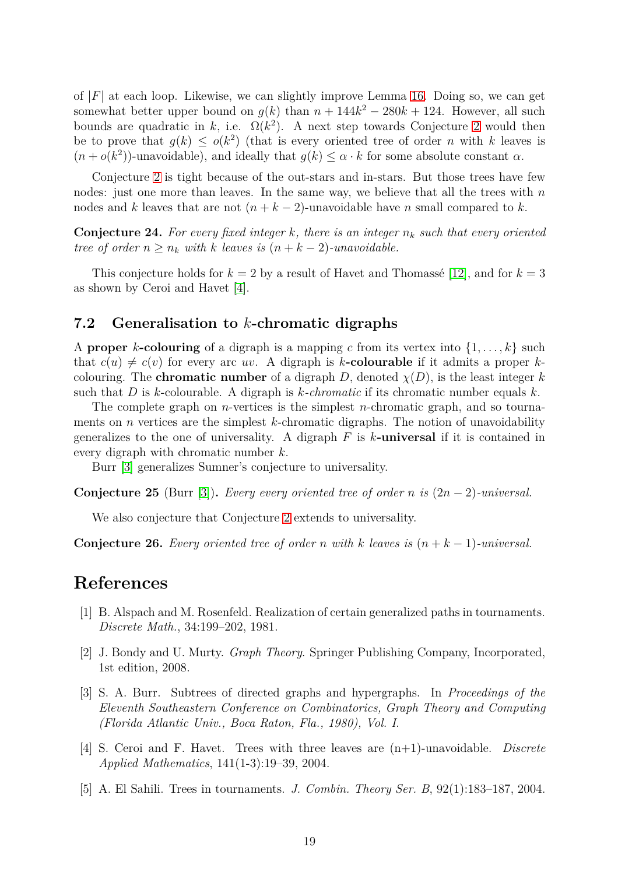of  $|F|$  at each loop. Likewise, we can slightly improve Lemma [16.](#page-10-1) Doing so, we can get somewhat better upper bound on  $g(k)$  than  $n + 144k^2 - 280k + 124$ . However, all such bounds are quadratic in *k*, i.e.  $\Omega(k^2)$ . A next step towards Conjecture [2](#page-1-0) would then be to prove that  $g(k) \leq o(k^2)$  (that is every oriented tree of order *n* with *k* leaves is  $(n + o(k^2))$ -unavoidable), and ideally that  $g(k) \leq \alpha \cdot k$  for some absolute constant  $\alpha$ .

Conjecture [2](#page-1-0) is tight because of the out-stars and in-stars. But those trees have few nodes: just one more than leaves. In the same way, we believe that all the trees with *n* nodes and *k* leaves that are not  $(n + k - 2)$ -unavoidable have *n* small compared to *k*.

**Conjecture 24.** For every fixed integer  $k$ , there is an integer  $n_k$  such that every oriented *tree of order*  $n \geq n_k$  *with k leaves is*  $(n + k - 2)$ *-unavoidable.* 

This conjecture holds for  $k = 2$  by a result of Havet and Thomassé [\[12\]](#page-19-6), and for  $k = 3$ as shown by Ceroi and Havet [\[4\]](#page-18-2).

### **7.2 Generalisation to** *k***-chromatic digraphs**

A **proper** *k*-colouring of a digraph is a mapping *c* from its vertex into  $\{1, \ldots, k\}$  such that  $c(u) \neq c(v)$  for every arc *uv*. A digraph is *k***-colourable** if it admits a proper *k*colouring. The **chromatic number** of a digraph *D*, denoted  $\chi(D)$ , is the least integer *k* such that *D* is *k*-colourable. A digraph is *k-chromatic* if its chromatic number equals *k*.

The complete graph on *n*-vertices is the simplest *n*-chromatic graph, and so tournaments on *n* vertices are the simplest *k*-chromatic digraphs. The notion of unavoidability generalizes to the one of universality. A digraph *F* is *k***-universal** if it is contained in every digraph with chromatic number *k*.

Burr [\[3\]](#page-18-4) generalizes Sumner's conjecture to universality.

**Conjecture 25** (Burr [\[3\]](#page-18-4)). *Every every oriented tree of order n is*  $(2n - 2)$ *-universal.* 

We also conjecture that Conjecture [2](#page-1-0) extends to universality.

**Conjecture 26.** Every oriented tree of order *n* with *k* leaves is  $(n + k - 1)$ *-universal.* 

# <span id="page-18-0"></span>**References**

- <span id="page-18-3"></span>[1] B. Alspach and M. Rosenfeld. Realization of certain generalized paths in tournaments. *Discrete Math.*, 34:199–202, 1981.
- <span id="page-18-4"></span>[2] J. Bondy and U. Murty. *Graph Theory*. Springer Publishing Company, Incorporated, 1st edition, 2008.
- [3] S. A. Burr. Subtrees of directed graphs and hypergraphs. In *Proceedings of the Eleventh Southeastern Conference on Combinatorics, Graph Theory and Computing (Florida Atlantic Univ., Boca Raton, Fla., 1980), Vol. I*.
- <span id="page-18-2"></span>[4] S. Ceroi and F. Havet. Trees with three leaves are (n+1)-unavoidable. *Discrete Applied Mathematics*, 141(1-3):19–39, 2004.
- <span id="page-18-1"></span>[5] A. El Sahili. Trees in tournaments. *J. Combin. Theory Ser. B*, 92(1):183–187, 2004.